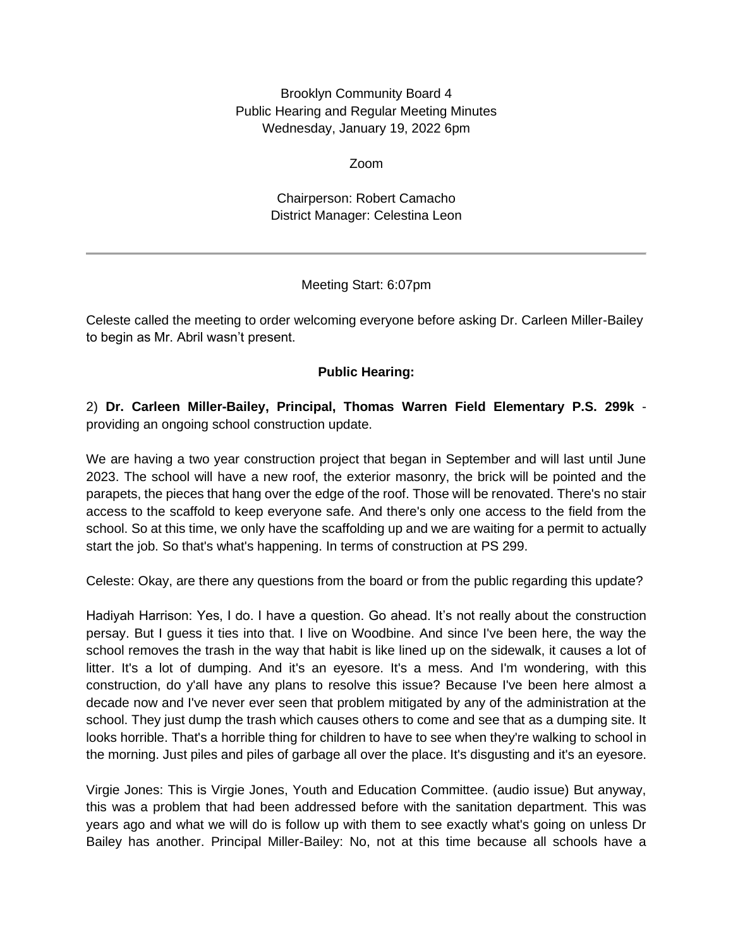Brooklyn Community Board 4 Public Hearing and Regular Meeting Minutes Wednesday, January 19, 2022 6pm

Zoom

Chairperson: Robert Camacho District Manager: Celestina Leon

## Meeting Start: 6:07pm

Celeste called the meeting to order welcoming everyone before asking Dr. Carleen Miller-Bailey to begin as Mr. Abril wasn't present.

## **Public Hearing:**

2) **Dr. Carleen Miller-Bailey, Principal, Thomas Warren Field Elementary P.S. 299k** providing an ongoing school construction update.

We are having a two year construction project that began in September and will last until June 2023. The school will have a new roof, the exterior masonry, the brick will be pointed and the parapets, the pieces that hang over the edge of the roof. Those will be renovated. There's no stair access to the scaffold to keep everyone safe. And there's only one access to the field from the school. So at this time, we only have the scaffolding up and we are waiting for a permit to actually start the job. So that's what's happening. In terms of construction at PS 299.

Celeste: Okay, are there any questions from the board or from the public regarding this update?

Hadiyah Harrison: Yes, I do. I have a question. Go ahead. It's not really about the construction persay. But I guess it ties into that. I live on Woodbine. And since I've been here, the way the school removes the trash in the way that habit is like lined up on the sidewalk, it causes a lot of litter. It's a lot of dumping. And it's an eyesore. It's a mess. And I'm wondering, with this construction, do y'all have any plans to resolve this issue? Because I've been here almost a decade now and I've never ever seen that problem mitigated by any of the administration at the school. They just dump the trash which causes others to come and see that as a dumping site. It looks horrible. That's a horrible thing for children to have to see when they're walking to school in the morning. Just piles and piles of garbage all over the place. It's disgusting and it's an eyesore.

Virgie Jones: This is Virgie Jones, Youth and Education Committee. (audio issue) But anyway, this was a problem that had been addressed before with the sanitation department. This was years ago and what we will do is follow up with them to see exactly what's going on unless Dr Bailey has another. Principal Miller-Bailey: No, not at this time because all schools have a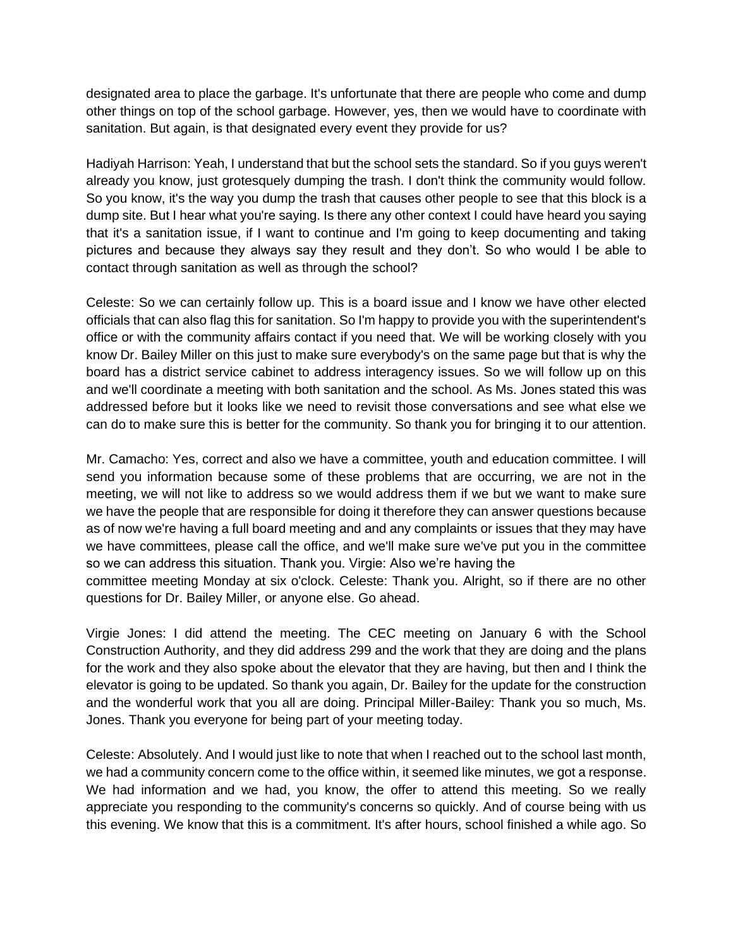designated area to place the garbage. It's unfortunate that there are people who come and dump other things on top of the school garbage. However, yes, then we would have to coordinate with sanitation. But again, is that designated every event they provide for us?

Hadiyah Harrison: Yeah, I understand that but the school sets the standard. So if you guys weren't already you know, just grotesquely dumping the trash. I don't think the community would follow. So you know, it's the way you dump the trash that causes other people to see that this block is a dump site. But I hear what you're saying. Is there any other context I could have heard you saying that it's a sanitation issue, if I want to continue and I'm going to keep documenting and taking pictures and because they always say they result and they don't. So who would I be able to contact through sanitation as well as through the school?

Celeste: So we can certainly follow up. This is a board issue and I know we have other elected officials that can also flag this for sanitation. So I'm happy to provide you with the superintendent's office or with the community affairs contact if you need that. We will be working closely with you know Dr. Bailey Miller on this just to make sure everybody's on the same page but that is why the board has a district service cabinet to address interagency issues. So we will follow up on this and we'll coordinate a meeting with both sanitation and the school. As Ms. Jones stated this was addressed before but it looks like we need to revisit those conversations and see what else we can do to make sure this is better for the community. So thank you for bringing it to our attention.

Mr. Camacho: Yes, correct and also we have a committee, youth and education committee. I will send you information because some of these problems that are occurring, we are not in the meeting, we will not like to address so we would address them if we but we want to make sure we have the people that are responsible for doing it therefore they can answer questions because as of now we're having a full board meeting and and any complaints or issues that they may have we have committees, please call the office, and we'll make sure we've put you in the committee so we can address this situation. Thank you. Virgie: Also we're having the

committee meeting Monday at six o'clock. Celeste: Thank you. Alright, so if there are no other questions for Dr. Bailey Miller, or anyone else. Go ahead.

Virgie Jones: I did attend the meeting. The CEC meeting on January 6 with the School Construction Authority, and they did address 299 and the work that they are doing and the plans for the work and they also spoke about the elevator that they are having, but then and I think the elevator is going to be updated. So thank you again, Dr. Bailey for the update for the construction and the wonderful work that you all are doing. Principal Miller-Bailey: Thank you so much, Ms. Jones. Thank you everyone for being part of your meeting today.

Celeste: Absolutely. And I would just like to note that when I reached out to the school last month, we had a community concern come to the office within, it seemed like minutes, we got a response. We had information and we had, you know, the offer to attend this meeting. So we really appreciate you responding to the community's concerns so quickly. And of course being with us this evening. We know that this is a commitment. It's after hours, school finished a while ago. So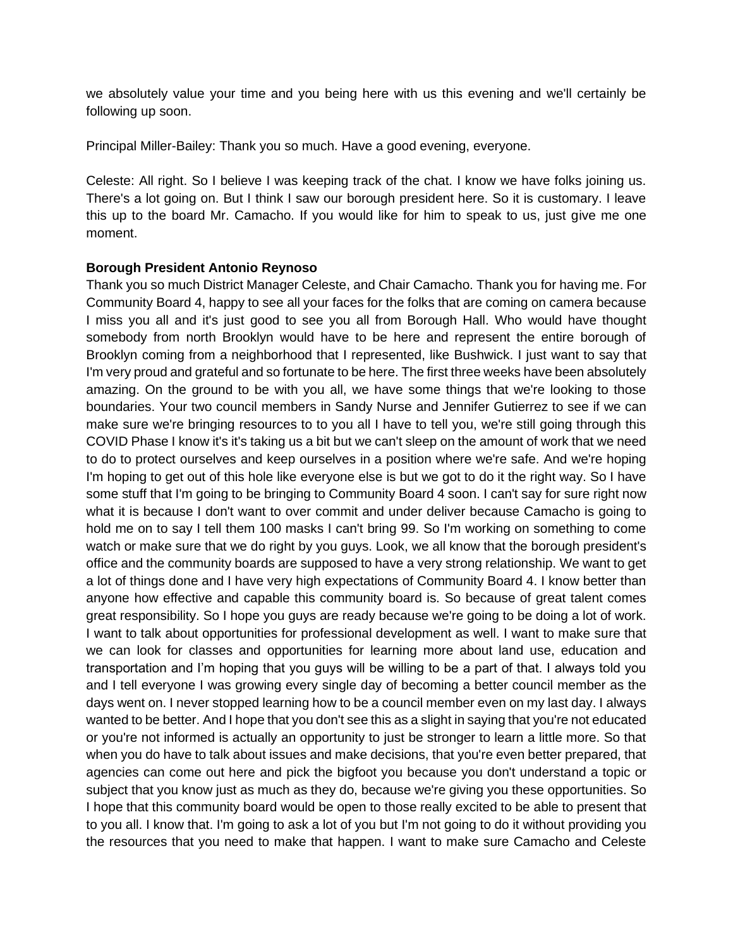we absolutely value your time and you being here with us this evening and we'll certainly be following up soon.

Principal Miller-Bailey: Thank you so much. Have a good evening, everyone.

Celeste: All right. So I believe I was keeping track of the chat. I know we have folks joining us. There's a lot going on. But I think I saw our borough president here. So it is customary. I leave this up to the board Mr. Camacho. If you would like for him to speak to us, just give me one moment.

#### **Borough President Antonio Reynoso**

Thank you so much District Manager Celeste, and Chair Camacho. Thank you for having me. For Community Board 4, happy to see all your faces for the folks that are coming on camera because I miss you all and it's just good to see you all from Borough Hall. Who would have thought somebody from north Brooklyn would have to be here and represent the entire borough of Brooklyn coming from a neighborhood that I represented, like Bushwick. I just want to say that I'm very proud and grateful and so fortunate to be here. The first three weeks have been absolutely amazing. On the ground to be with you all, we have some things that we're looking to those boundaries. Your two council members in Sandy Nurse and Jennifer Gutierrez to see if we can make sure we're bringing resources to to you all I have to tell you, we're still going through this COVID Phase I know it's it's taking us a bit but we can't sleep on the amount of work that we need to do to protect ourselves and keep ourselves in a position where we're safe. And we're hoping I'm hoping to get out of this hole like everyone else is but we got to do it the right way. So I have some stuff that I'm going to be bringing to Community Board 4 soon. I can't say for sure right now what it is because I don't want to over commit and under deliver because Camacho is going to hold me on to say I tell them 100 masks I can't bring 99. So I'm working on something to come watch or make sure that we do right by you guys. Look, we all know that the borough president's office and the community boards are supposed to have a very strong relationship. We want to get a lot of things done and I have very high expectations of Community Board 4. I know better than anyone how effective and capable this community board is. So because of great talent comes great responsibility. So I hope you guys are ready because we're going to be doing a lot of work. I want to talk about opportunities for professional development as well. I want to make sure that we can look for classes and opportunities for learning more about land use, education and transportation and I'm hoping that you guys will be willing to be a part of that. I always told you and I tell everyone I was growing every single day of becoming a better council member as the days went on. I never stopped learning how to be a council member even on my last day. I always wanted to be better. And I hope that you don't see this as a slight in saying that you're not educated or you're not informed is actually an opportunity to just be stronger to learn a little more. So that when you do have to talk about issues and make decisions, that you're even better prepared, that agencies can come out here and pick the bigfoot you because you don't understand a topic or subject that you know just as much as they do, because we're giving you these opportunities. So I hope that this community board would be open to those really excited to be able to present that to you all. I know that. I'm going to ask a lot of you but I'm not going to do it without providing you the resources that you need to make that happen. I want to make sure Camacho and Celeste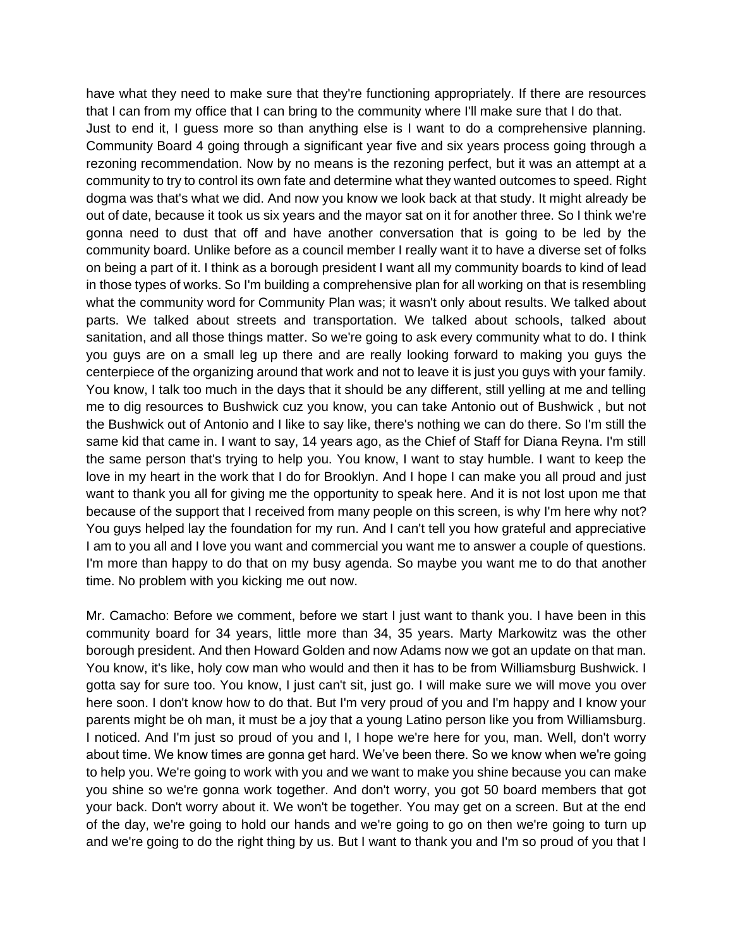have what they need to make sure that they're functioning appropriately. If there are resources that I can from my office that I can bring to the community where I'll make sure that I do that. Just to end it, I guess more so than anything else is I want to do a comprehensive planning. Community Board 4 going through a significant year five and six years process going through a rezoning recommendation. Now by no means is the rezoning perfect, but it was an attempt at a community to try to control its own fate and determine what they wanted outcomes to speed. Right dogma was that's what we did. And now you know we look back at that study. It might already be out of date, because it took us six years and the mayor sat on it for another three. So I think we're gonna need to dust that off and have another conversation that is going to be led by the community board. Unlike before as a council member I really want it to have a diverse set of folks on being a part of it. I think as a borough president I want all my community boards to kind of lead in those types of works. So I'm building a comprehensive plan for all working on that is resembling what the community word for Community Plan was; it wasn't only about results. We talked about parts. We talked about streets and transportation. We talked about schools, talked about sanitation, and all those things matter. So we're going to ask every community what to do. I think you guys are on a small leg up there and are really looking forward to making you guys the centerpiece of the organizing around that work and not to leave it is just you guys with your family. You know, I talk too much in the days that it should be any different, still yelling at me and telling me to dig resources to Bushwick cuz you know, you can take Antonio out of Bushwick , but not the Bushwick out of Antonio and I like to say like, there's nothing we can do there. So I'm still the same kid that came in. I want to say, 14 years ago, as the Chief of Staff for Diana Reyna. I'm still the same person that's trying to help you. You know, I want to stay humble. I want to keep the love in my heart in the work that I do for Brooklyn. And I hope I can make you all proud and just want to thank you all for giving me the opportunity to speak here. And it is not lost upon me that because of the support that I received from many people on this screen, is why I'm here why not? You guys helped lay the foundation for my run. And I can't tell you how grateful and appreciative I am to you all and I love you want and commercial you want me to answer a couple of questions. I'm more than happy to do that on my busy agenda. So maybe you want me to do that another time. No problem with you kicking me out now.

Mr. Camacho: Before we comment, before we start I just want to thank you. I have been in this community board for 34 years, little more than 34, 35 years. Marty Markowitz was the other borough president. And then Howard Golden and now Adams now we got an update on that man. You know, it's like, holy cow man who would and then it has to be from Williamsburg Bushwick. I gotta say for sure too. You know, I just can't sit, just go. I will make sure we will move you over here soon. I don't know how to do that. But I'm very proud of you and I'm happy and I know your parents might be oh man, it must be a joy that a young Latino person like you from Williamsburg. I noticed. And I'm just so proud of you and I, I hope we're here for you, man. Well, don't worry about time. We know times are gonna get hard. We've been there. So we know when we're going to help you. We're going to work with you and we want to make you shine because you can make you shine so we're gonna work together. And don't worry, you got 50 board members that got your back. Don't worry about it. We won't be together. You may get on a screen. But at the end of the day, we're going to hold our hands and we're going to go on then we're going to turn up and we're going to do the right thing by us. But I want to thank you and I'm so proud of you that I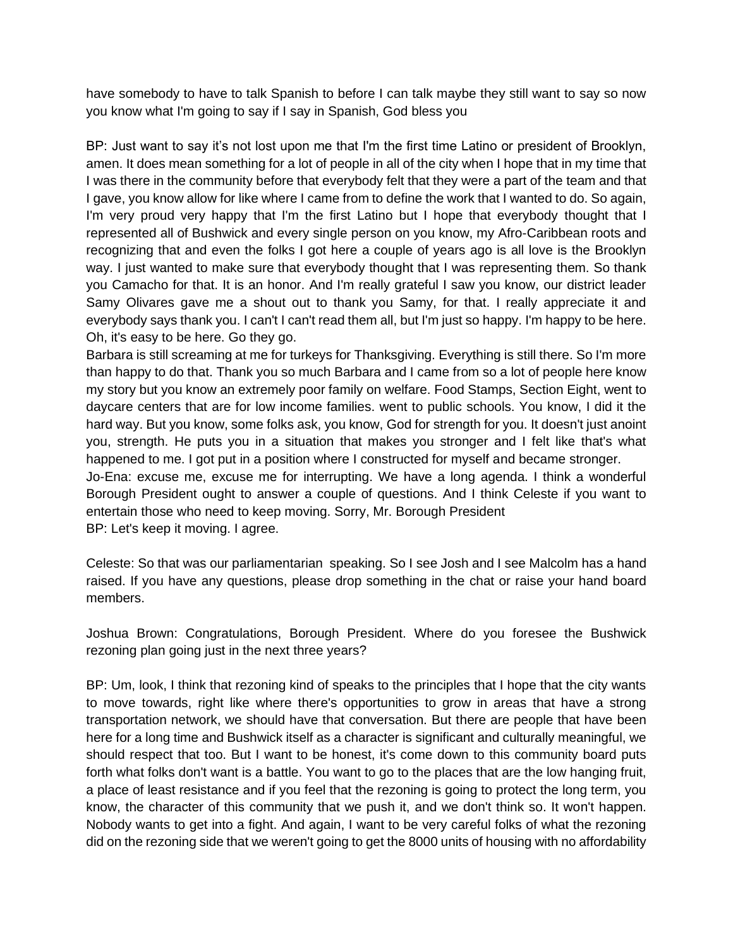have somebody to have to talk Spanish to before I can talk maybe they still want to say so now you know what I'm going to say if I say in Spanish, God bless you

BP: Just want to say it's not lost upon me that I'm the first time Latino or president of Brooklyn, amen. It does mean something for a lot of people in all of the city when I hope that in my time that I was there in the community before that everybody felt that they were a part of the team and that I gave, you know allow for like where I came from to define the work that I wanted to do. So again, I'm very proud very happy that I'm the first Latino but I hope that everybody thought that I represented all of Bushwick and every single person on you know, my Afro-Caribbean roots and recognizing that and even the folks I got here a couple of years ago is all love is the Brooklyn way. I just wanted to make sure that everybody thought that I was representing them. So thank you Camacho for that. It is an honor. And I'm really grateful I saw you know, our district leader Samy Olivares gave me a shout out to thank you Samy, for that. I really appreciate it and everybody says thank you. I can't I can't read them all, but I'm just so happy. I'm happy to be here. Oh, it's easy to be here. Go they go.

Barbara is still screaming at me for turkeys for Thanksgiving. Everything is still there. So I'm more than happy to do that. Thank you so much Barbara and I came from so a lot of people here know my story but you know an extremely poor family on welfare. Food Stamps, Section Eight, went to daycare centers that are for low income families. went to public schools. You know, I did it the hard way. But you know, some folks ask, you know, God for strength for you. It doesn't just anoint you, strength. He puts you in a situation that makes you stronger and I felt like that's what happened to me. I got put in a position where I constructed for myself and became stronger.

Jo-Ena: excuse me, excuse me for interrupting. We have a long agenda. I think a wonderful Borough President ought to answer a couple of questions. And I think Celeste if you want to entertain those who need to keep moving. Sorry, Mr. Borough President

BP: Let's keep it moving. I agree.

Celeste: So that was our parliamentarian speaking. So I see Josh and I see Malcolm has a hand raised. If you have any questions, please drop something in the chat or raise your hand board members.

Joshua Brown: Congratulations, Borough President. Where do you foresee the Bushwick rezoning plan going just in the next three years?

BP: Um, look, I think that rezoning kind of speaks to the principles that I hope that the city wants to move towards, right like where there's opportunities to grow in areas that have a strong transportation network, we should have that conversation. But there are people that have been here for a long time and Bushwick itself as a character is significant and culturally meaningful, we should respect that too. But I want to be honest, it's come down to this community board puts forth what folks don't want is a battle. You want to go to the places that are the low hanging fruit, a place of least resistance and if you feel that the rezoning is going to protect the long term, you know, the character of this community that we push it, and we don't think so. It won't happen. Nobody wants to get into a fight. And again, I want to be very careful folks of what the rezoning did on the rezoning side that we weren't going to get the 8000 units of housing with no affordability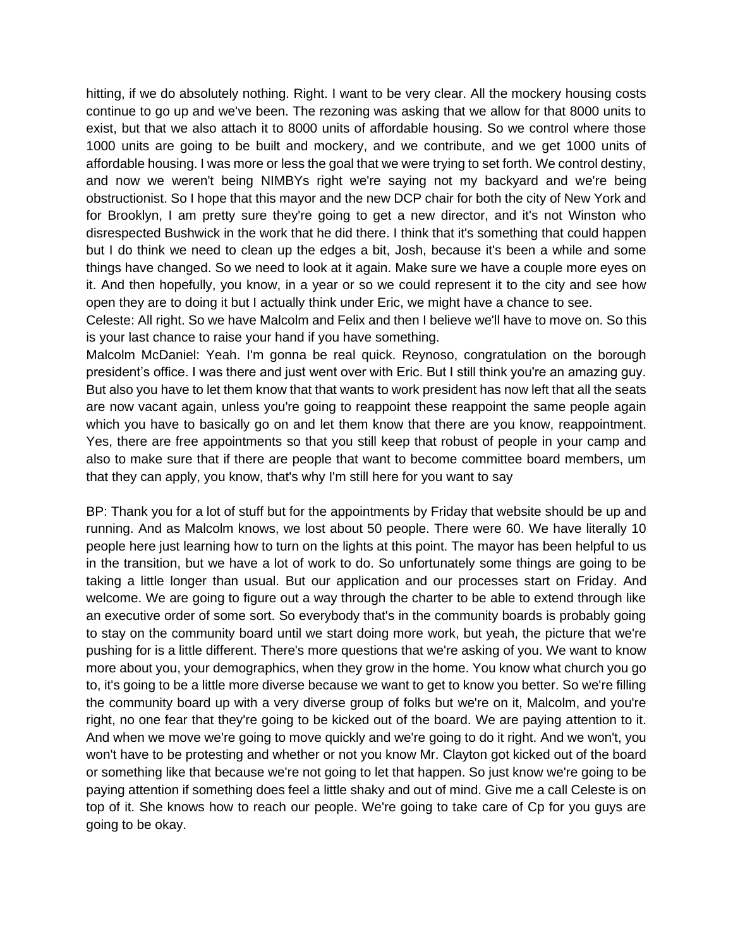hitting, if we do absolutely nothing. Right. I want to be very clear. All the mockery housing costs continue to go up and we've been. The rezoning was asking that we allow for that 8000 units to exist, but that we also attach it to 8000 units of affordable housing. So we control where those 1000 units are going to be built and mockery, and we contribute, and we get 1000 units of affordable housing. I was more or less the goal that we were trying to set forth. We control destiny, and now we weren't being NIMBYs right we're saying not my backyard and we're being obstructionist. So I hope that this mayor and the new DCP chair for both the city of New York and for Brooklyn, I am pretty sure they're going to get a new director, and it's not Winston who disrespected Bushwick in the work that he did there. I think that it's something that could happen but I do think we need to clean up the edges a bit, Josh, because it's been a while and some things have changed. So we need to look at it again. Make sure we have a couple more eyes on it. And then hopefully, you know, in a year or so we could represent it to the city and see how open they are to doing it but I actually think under Eric, we might have a chance to see.

Celeste: All right. So we have Malcolm and Felix and then I believe we'll have to move on. So this is your last chance to raise your hand if you have something.

Malcolm McDaniel: Yeah. I'm gonna be real quick. Reynoso, congratulation on the borough president's office. I was there and just went over with Eric. But I still think you're an amazing guy. But also you have to let them know that that wants to work president has now left that all the seats are now vacant again, unless you're going to reappoint these reappoint the same people again which you have to basically go on and let them know that there are you know, reappointment. Yes, there are free appointments so that you still keep that robust of people in your camp and also to make sure that if there are people that want to become committee board members, um that they can apply, you know, that's why I'm still here for you want to say

BP: Thank you for a lot of stuff but for the appointments by Friday that website should be up and running. And as Malcolm knows, we lost about 50 people. There were 60. We have literally 10 people here just learning how to turn on the lights at this point. The mayor has been helpful to us in the transition, but we have a lot of work to do. So unfortunately some things are going to be taking a little longer than usual. But our application and our processes start on Friday. And welcome. We are going to figure out a way through the charter to be able to extend through like an executive order of some sort. So everybody that's in the community boards is probably going to stay on the community board until we start doing more work, but yeah, the picture that we're pushing for is a little different. There's more questions that we're asking of you. We want to know more about you, your demographics, when they grow in the home. You know what church you go to, it's going to be a little more diverse because we want to get to know you better. So we're filling the community board up with a very diverse group of folks but we're on it, Malcolm, and you're right, no one fear that they're going to be kicked out of the board. We are paying attention to it. And when we move we're going to move quickly and we're going to do it right. And we won't, you won't have to be protesting and whether or not you know Mr. Clayton got kicked out of the board or something like that because we're not going to let that happen. So just know we're going to be paying attention if something does feel a little shaky and out of mind. Give me a call Celeste is on top of it. She knows how to reach our people. We're going to take care of Cp for you guys are going to be okay.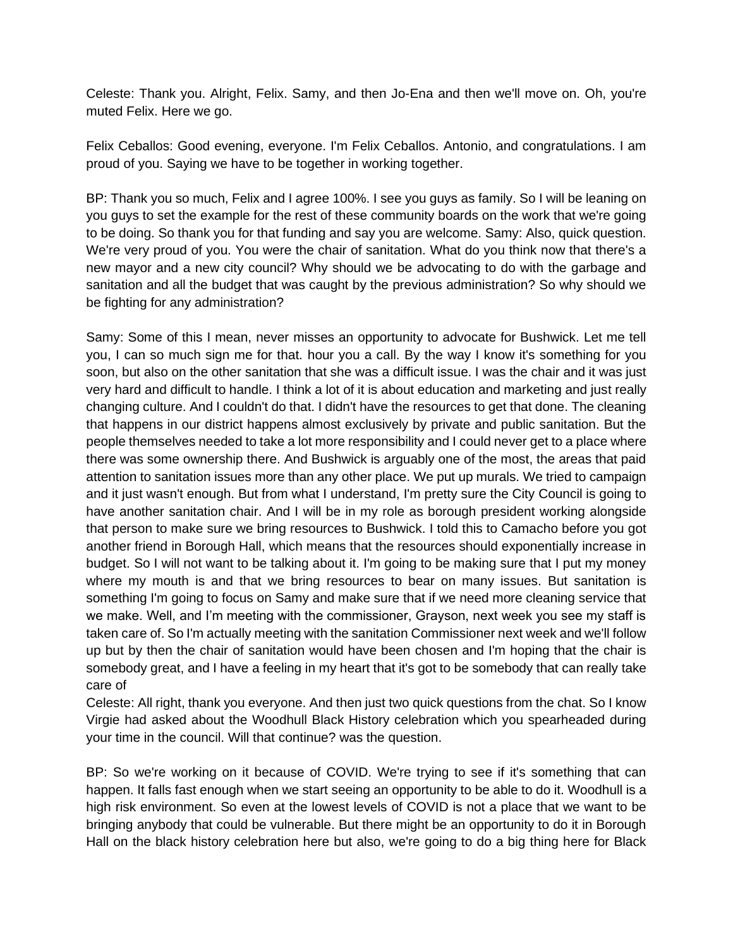Celeste: Thank you. Alright, Felix. Samy, and then Jo-Ena and then we'll move on. Oh, you're muted Felix. Here we go.

Felix Ceballos: Good evening, everyone. I'm Felix Ceballos. Antonio, and congratulations. I am proud of you. Saying we have to be together in working together.

BP: Thank you so much, Felix and I agree 100%. I see you guys as family. So I will be leaning on you guys to set the example for the rest of these community boards on the work that we're going to be doing. So thank you for that funding and say you are welcome. Samy: Also, quick question. We're very proud of you. You were the chair of sanitation. What do you think now that there's a new mayor and a new city council? Why should we be advocating to do with the garbage and sanitation and all the budget that was caught by the previous administration? So why should we be fighting for any administration?

Samy: Some of this I mean, never misses an opportunity to advocate for Bushwick. Let me tell you, I can so much sign me for that. hour you a call. By the way I know it's something for you soon, but also on the other sanitation that she was a difficult issue. I was the chair and it was just very hard and difficult to handle. I think a lot of it is about education and marketing and just really changing culture. And I couldn't do that. I didn't have the resources to get that done. The cleaning that happens in our district happens almost exclusively by private and public sanitation. But the people themselves needed to take a lot more responsibility and I could never get to a place where there was some ownership there. And Bushwick is arguably one of the most, the areas that paid attention to sanitation issues more than any other place. We put up murals. We tried to campaign and it just wasn't enough. But from what I understand, I'm pretty sure the City Council is going to have another sanitation chair. And I will be in my role as borough president working alongside that person to make sure we bring resources to Bushwick. I told this to Camacho before you got another friend in Borough Hall, which means that the resources should exponentially increase in budget. So I will not want to be talking about it. I'm going to be making sure that I put my money where my mouth is and that we bring resources to bear on many issues. But sanitation is something I'm going to focus on Samy and make sure that if we need more cleaning service that we make. Well, and I'm meeting with the commissioner, Grayson, next week you see my staff is taken care of. So I'm actually meeting with the sanitation Commissioner next week and we'll follow up but by then the chair of sanitation would have been chosen and I'm hoping that the chair is somebody great, and I have a feeling in my heart that it's got to be somebody that can really take care of

Celeste: All right, thank you everyone. And then just two quick questions from the chat. So I know Virgie had asked about the Woodhull Black History celebration which you spearheaded during your time in the council. Will that continue? was the question.

BP: So we're working on it because of COVID. We're trying to see if it's something that can happen. It falls fast enough when we start seeing an opportunity to be able to do it. Woodhull is a high risk environment. So even at the lowest levels of COVID is not a place that we want to be bringing anybody that could be vulnerable. But there might be an opportunity to do it in Borough Hall on the black history celebration here but also, we're going to do a big thing here for Black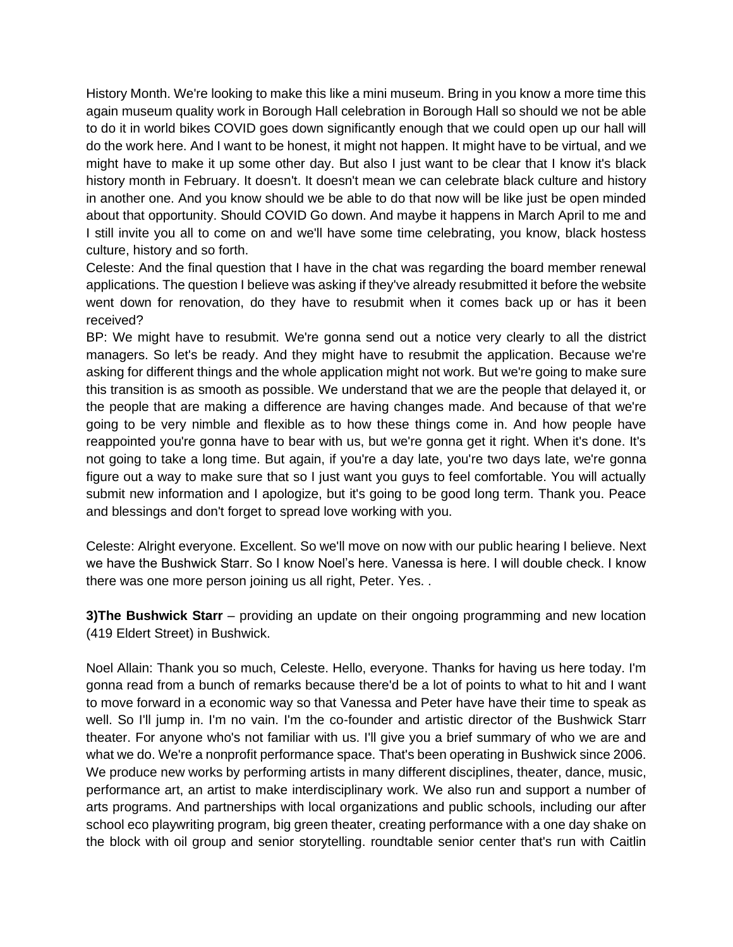History Month. We're looking to make this like a mini museum. Bring in you know a more time this again museum quality work in Borough Hall celebration in Borough Hall so should we not be able to do it in world bikes COVID goes down significantly enough that we could open up our hall will do the work here. And I want to be honest, it might not happen. It might have to be virtual, and we might have to make it up some other day. But also I just want to be clear that I know it's black history month in February. It doesn't. It doesn't mean we can celebrate black culture and history in another one. And you know should we be able to do that now will be like just be open minded about that opportunity. Should COVID Go down. And maybe it happens in March April to me and I still invite you all to come on and we'll have some time celebrating, you know, black hostess culture, history and so forth.

Celeste: And the final question that I have in the chat was regarding the board member renewal applications. The question I believe was asking if they've already resubmitted it before the website went down for renovation, do they have to resubmit when it comes back up or has it been received?

BP: We might have to resubmit. We're gonna send out a notice very clearly to all the district managers. So let's be ready. And they might have to resubmit the application. Because we're asking for different things and the whole application might not work. But we're going to make sure this transition is as smooth as possible. We understand that we are the people that delayed it, or the people that are making a difference are having changes made. And because of that we're going to be very nimble and flexible as to how these things come in. And how people have reappointed you're gonna have to bear with us, but we're gonna get it right. When it's done. It's not going to take a long time. But again, if you're a day late, you're two days late, we're gonna figure out a way to make sure that so I just want you guys to feel comfortable. You will actually submit new information and I apologize, but it's going to be good long term. Thank you. Peace and blessings and don't forget to spread love working with you.

Celeste: Alright everyone. Excellent. So we'll move on now with our public hearing I believe. Next we have the Bushwick Starr. So I know Noel's here. Vanessa is here. I will double check. I know there was one more person joining us all right, Peter. Yes. .

**3)The Bushwick Starr** – providing an update on their ongoing programming and new location (419 Eldert Street) in Bushwick.

Noel Allain: Thank you so much, Celeste. Hello, everyone. Thanks for having us here today. I'm gonna read from a bunch of remarks because there'd be a lot of points to what to hit and I want to move forward in a economic way so that Vanessa and Peter have have their time to speak as well. So I'll jump in. I'm no vain. I'm the co-founder and artistic director of the Bushwick Starr theater. For anyone who's not familiar with us. I'll give you a brief summary of who we are and what we do. We're a nonprofit performance space. That's been operating in Bushwick since 2006. We produce new works by performing artists in many different disciplines, theater, dance, music, performance art, an artist to make interdisciplinary work. We also run and support a number of arts programs. And partnerships with local organizations and public schools, including our after school eco playwriting program, big green theater, creating performance with a one day shake on the block with oil group and senior storytelling. roundtable senior center that's run with Caitlin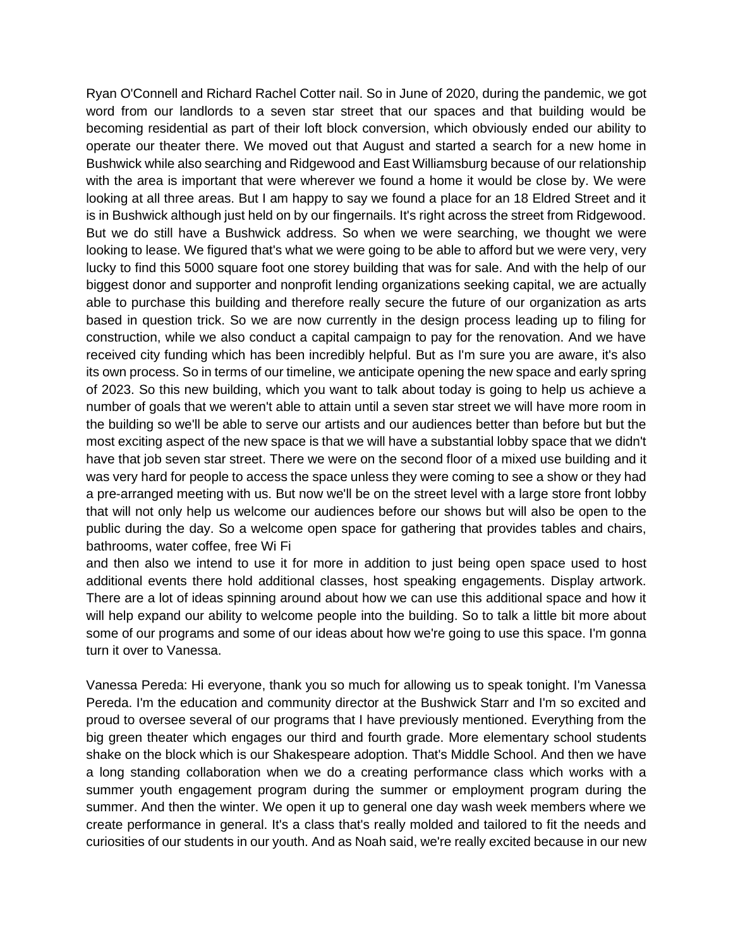Ryan O'Connell and Richard Rachel Cotter nail. So in June of 2020, during the pandemic, we got word from our landlords to a seven star street that our spaces and that building would be becoming residential as part of their loft block conversion, which obviously ended our ability to operate our theater there. We moved out that August and started a search for a new home in Bushwick while also searching and Ridgewood and East Williamsburg because of our relationship with the area is important that were wherever we found a home it would be close by. We were looking at all three areas. But I am happy to say we found a place for an 18 Eldred Street and it is in Bushwick although just held on by our fingernails. It's right across the street from Ridgewood. But we do still have a Bushwick address. So when we were searching, we thought we were looking to lease. We figured that's what we were going to be able to afford but we were very, very lucky to find this 5000 square foot one storey building that was for sale. And with the help of our biggest donor and supporter and nonprofit lending organizations seeking capital, we are actually able to purchase this building and therefore really secure the future of our organization as arts based in question trick. So we are now currently in the design process leading up to filing for construction, while we also conduct a capital campaign to pay for the renovation. And we have received city funding which has been incredibly helpful. But as I'm sure you are aware, it's also its own process. So in terms of our timeline, we anticipate opening the new space and early spring of 2023. So this new building, which you want to talk about today is going to help us achieve a number of goals that we weren't able to attain until a seven star street we will have more room in the building so we'll be able to serve our artists and our audiences better than before but but the most exciting aspect of the new space is that we will have a substantial lobby space that we didn't have that job seven star street. There we were on the second floor of a mixed use building and it was very hard for people to access the space unless they were coming to see a show or they had a pre-arranged meeting with us. But now we'll be on the street level with a large store front lobby that will not only help us welcome our audiences before our shows but will also be open to the public during the day. So a welcome open space for gathering that provides tables and chairs, bathrooms, water coffee, free Wi Fi

and then also we intend to use it for more in addition to just being open space used to host additional events there hold additional classes, host speaking engagements. Display artwork. There are a lot of ideas spinning around about how we can use this additional space and how it will help expand our ability to welcome people into the building. So to talk a little bit more about some of our programs and some of our ideas about how we're going to use this space. I'm gonna turn it over to Vanessa.

Vanessa Pereda: Hi everyone, thank you so much for allowing us to speak tonight. I'm Vanessa Pereda. I'm the education and community director at the Bushwick Starr and I'm so excited and proud to oversee several of our programs that I have previously mentioned. Everything from the big green theater which engages our third and fourth grade. More elementary school students shake on the block which is our Shakespeare adoption. That's Middle School. And then we have a long standing collaboration when we do a creating performance class which works with a summer youth engagement program during the summer or employment program during the summer. And then the winter. We open it up to general one day wash week members where we create performance in general. It's a class that's really molded and tailored to fit the needs and curiosities of our students in our youth. And as Noah said, we're really excited because in our new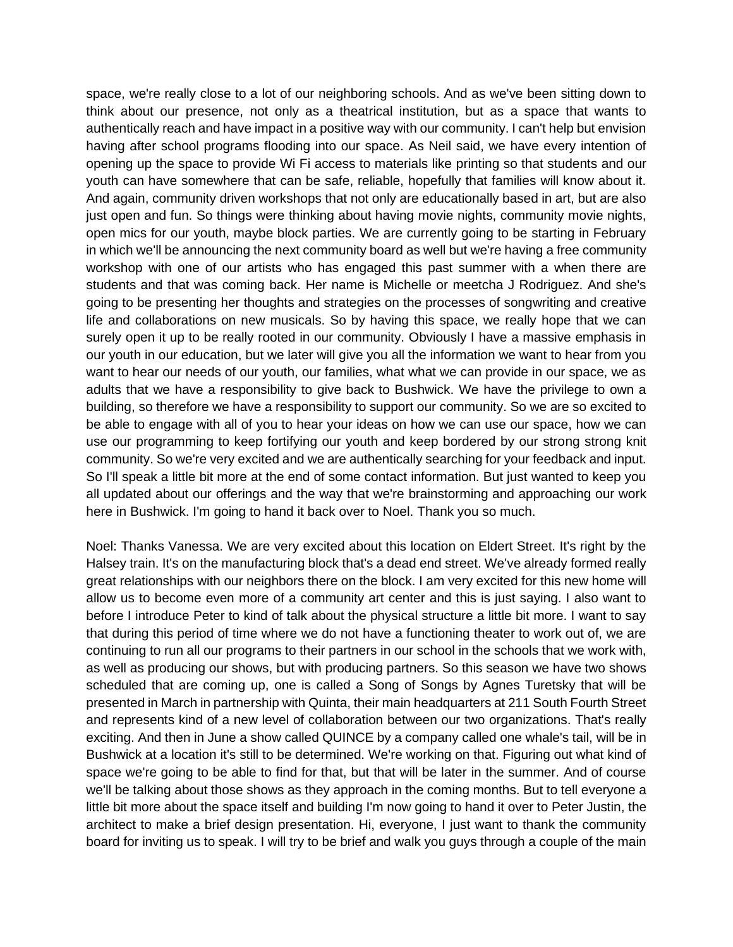space, we're really close to a lot of our neighboring schools. And as we've been sitting down to think about our presence, not only as a theatrical institution, but as a space that wants to authentically reach and have impact in a positive way with our community. I can't help but envision having after school programs flooding into our space. As Neil said, we have every intention of opening up the space to provide Wi Fi access to materials like printing so that students and our youth can have somewhere that can be safe, reliable, hopefully that families will know about it. And again, community driven workshops that not only are educationally based in art, but are also just open and fun. So things were thinking about having movie nights, community movie nights, open mics for our youth, maybe block parties. We are currently going to be starting in February in which we'll be announcing the next community board as well but we're having a free community workshop with one of our artists who has engaged this past summer with a when there are students and that was coming back. Her name is Michelle or meetcha J Rodriguez. And she's going to be presenting her thoughts and strategies on the processes of songwriting and creative life and collaborations on new musicals. So by having this space, we really hope that we can surely open it up to be really rooted in our community. Obviously I have a massive emphasis in our youth in our education, but we later will give you all the information we want to hear from you want to hear our needs of our youth, our families, what what we can provide in our space, we as adults that we have a responsibility to give back to Bushwick. We have the privilege to own a building, so therefore we have a responsibility to support our community. So we are so excited to be able to engage with all of you to hear your ideas on how we can use our space, how we can use our programming to keep fortifying our youth and keep bordered by our strong strong knit community. So we're very excited and we are authentically searching for your feedback and input. So I'll speak a little bit more at the end of some contact information. But just wanted to keep you all updated about our offerings and the way that we're brainstorming and approaching our work here in Bushwick. I'm going to hand it back over to Noel. Thank you so much.

Noel: Thanks Vanessa. We are very excited about this location on Eldert Street. It's right by the Halsey train. It's on the manufacturing block that's a dead end street. We've already formed really great relationships with our neighbors there on the block. I am very excited for this new home will allow us to become even more of a community art center and this is just saying. I also want to before I introduce Peter to kind of talk about the physical structure a little bit more. I want to say that during this period of time where we do not have a functioning theater to work out of, we are continuing to run all our programs to their partners in our school in the schools that we work with, as well as producing our shows, but with producing partners. So this season we have two shows scheduled that are coming up, one is called a Song of Songs by Agnes Turetsky that will be presented in March in partnership with Quinta, their main headquarters at 211 South Fourth Street and represents kind of a new level of collaboration between our two organizations. That's really exciting. And then in June a show called QUINCE by a company called one whale's tail, will be in Bushwick at a location it's still to be determined. We're working on that. Figuring out what kind of space we're going to be able to find for that, but that will be later in the summer. And of course we'll be talking about those shows as they approach in the coming months. But to tell everyone a little bit more about the space itself and building I'm now going to hand it over to Peter Justin, the architect to make a brief design presentation. Hi, everyone, I just want to thank the community board for inviting us to speak. I will try to be brief and walk you guys through a couple of the main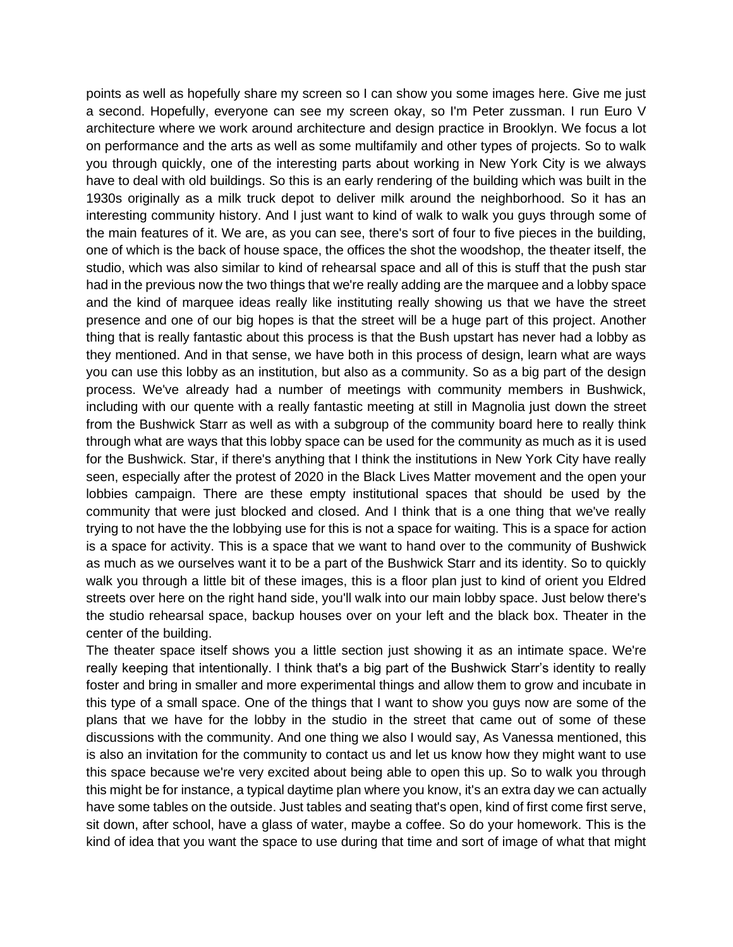points as well as hopefully share my screen so I can show you some images here. Give me just a second. Hopefully, everyone can see my screen okay, so I'm Peter zussman. I run Euro V architecture where we work around architecture and design practice in Brooklyn. We focus a lot on performance and the arts as well as some multifamily and other types of projects. So to walk you through quickly, one of the interesting parts about working in New York City is we always have to deal with old buildings. So this is an early rendering of the building which was built in the 1930s originally as a milk truck depot to deliver milk around the neighborhood. So it has an interesting community history. And I just want to kind of walk to walk you guys through some of the main features of it. We are, as you can see, there's sort of four to five pieces in the building, one of which is the back of house space, the offices the shot the woodshop, the theater itself, the studio, which was also similar to kind of rehearsal space and all of this is stuff that the push star had in the previous now the two things that we're really adding are the marquee and a lobby space and the kind of marquee ideas really like instituting really showing us that we have the street presence and one of our big hopes is that the street will be a huge part of this project. Another thing that is really fantastic about this process is that the Bush upstart has never had a lobby as they mentioned. And in that sense, we have both in this process of design, learn what are ways you can use this lobby as an institution, but also as a community. So as a big part of the design process. We've already had a number of meetings with community members in Bushwick, including with our quente with a really fantastic meeting at still in Magnolia just down the street from the Bushwick Starr as well as with a subgroup of the community board here to really think through what are ways that this lobby space can be used for the community as much as it is used for the Bushwick. Star, if there's anything that I think the institutions in New York City have really seen, especially after the protest of 2020 in the Black Lives Matter movement and the open your lobbies campaign. There are these empty institutional spaces that should be used by the community that were just blocked and closed. And I think that is a one thing that we've really trying to not have the the lobbying use for this is not a space for waiting. This is a space for action is a space for activity. This is a space that we want to hand over to the community of Bushwick as much as we ourselves want it to be a part of the Bushwick Starr and its identity. So to quickly walk you through a little bit of these images, this is a floor plan just to kind of orient you Eldred streets over here on the right hand side, you'll walk into our main lobby space. Just below there's the studio rehearsal space, backup houses over on your left and the black box. Theater in the center of the building.

The theater space itself shows you a little section just showing it as an intimate space. We're really keeping that intentionally. I think that's a big part of the Bushwick Starr's identity to really foster and bring in smaller and more experimental things and allow them to grow and incubate in this type of a small space. One of the things that I want to show you guys now are some of the plans that we have for the lobby in the studio in the street that came out of some of these discussions with the community. And one thing we also I would say, As Vanessa mentioned, this is also an invitation for the community to contact us and let us know how they might want to use this space because we're very excited about being able to open this up. So to walk you through this might be for instance, a typical daytime plan where you know, it's an extra day we can actually have some tables on the outside. Just tables and seating that's open, kind of first come first serve, sit down, after school, have a glass of water, maybe a coffee. So do your homework. This is the kind of idea that you want the space to use during that time and sort of image of what that might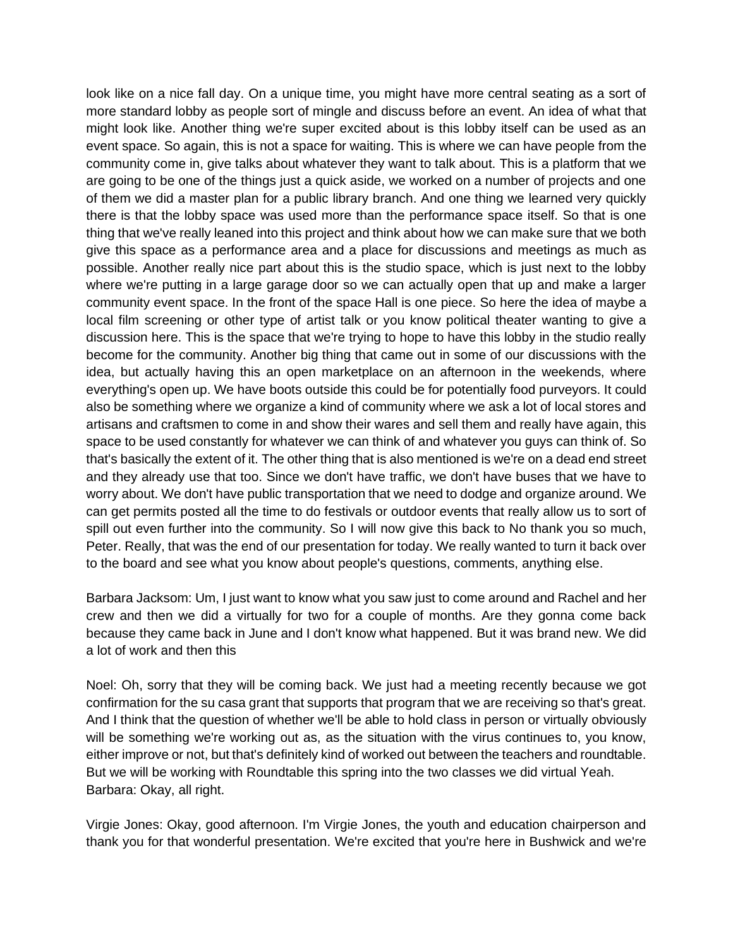look like on a nice fall day. On a unique time, you might have more central seating as a sort of more standard lobby as people sort of mingle and discuss before an event. An idea of what that might look like. Another thing we're super excited about is this lobby itself can be used as an event space. So again, this is not a space for waiting. This is where we can have people from the community come in, give talks about whatever they want to talk about. This is a platform that we are going to be one of the things just a quick aside, we worked on a number of projects and one of them we did a master plan for a public library branch. And one thing we learned very quickly there is that the lobby space was used more than the performance space itself. So that is one thing that we've really leaned into this project and think about how we can make sure that we both give this space as a performance area and a place for discussions and meetings as much as possible. Another really nice part about this is the studio space, which is just next to the lobby where we're putting in a large garage door so we can actually open that up and make a larger community event space. In the front of the space Hall is one piece. So here the idea of maybe a local film screening or other type of artist talk or you know political theater wanting to give a discussion here. This is the space that we're trying to hope to have this lobby in the studio really become for the community. Another big thing that came out in some of our discussions with the idea, but actually having this an open marketplace on an afternoon in the weekends, where everything's open up. We have boots outside this could be for potentially food purveyors. It could also be something where we organize a kind of community where we ask a lot of local stores and artisans and craftsmen to come in and show their wares and sell them and really have again, this space to be used constantly for whatever we can think of and whatever you guys can think of. So that's basically the extent of it. The other thing that is also mentioned is we're on a dead end street and they already use that too. Since we don't have traffic, we don't have buses that we have to worry about. We don't have public transportation that we need to dodge and organize around. We can get permits posted all the time to do festivals or outdoor events that really allow us to sort of spill out even further into the community. So I will now give this back to No thank you so much, Peter. Really, that was the end of our presentation for today. We really wanted to turn it back over to the board and see what you know about people's questions, comments, anything else.

Barbara Jacksom: Um, I just want to know what you saw just to come around and Rachel and her crew and then we did a virtually for two for a couple of months. Are they gonna come back because they came back in June and I don't know what happened. But it was brand new. We did a lot of work and then this

Noel: Oh, sorry that they will be coming back. We just had a meeting recently because we got confirmation for the su casa grant that supports that program that we are receiving so that's great. And I think that the question of whether we'll be able to hold class in person or virtually obviously will be something we're working out as, as the situation with the virus continues to, you know, either improve or not, but that's definitely kind of worked out between the teachers and roundtable. But we will be working with Roundtable this spring into the two classes we did virtual Yeah. Barbara: Okay, all right.

Virgie Jones: Okay, good afternoon. I'm Virgie Jones, the youth and education chairperson and thank you for that wonderful presentation. We're excited that you're here in Bushwick and we're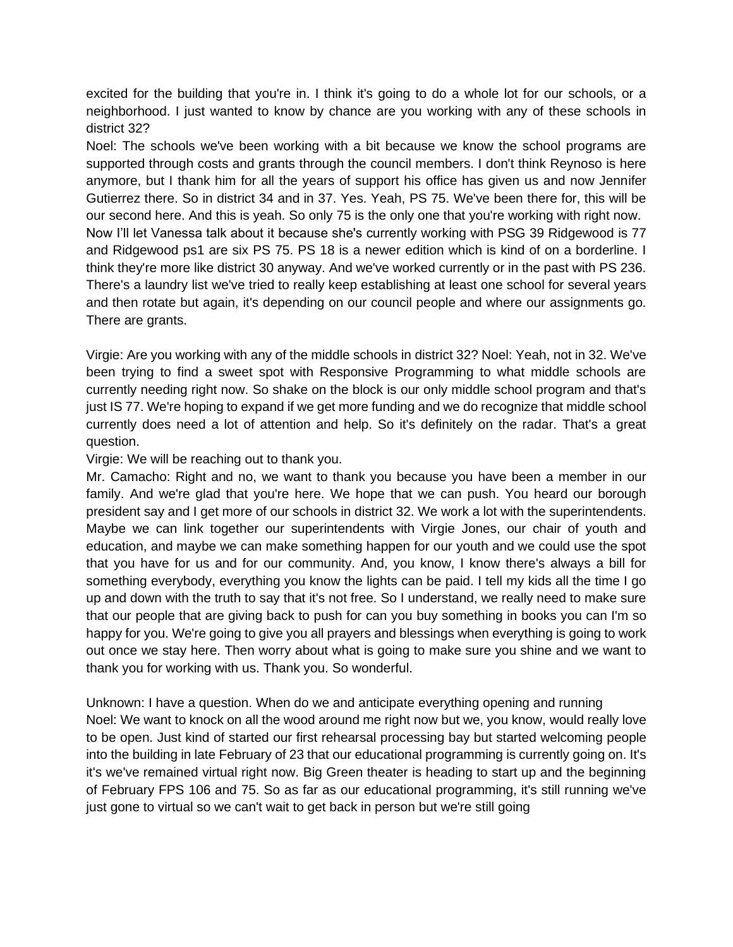excited for the building that you're in. I think it's going to do a whole lot for our schools, or a neighborhood. I just wanted to know by chance are you working with any of these schools in district 32?

Noel: The schools we've been working with a bit because we know the school programs are supported through costs and grants through the council members. I don't think Reynoso is here anymore, but I thank him for all the years of support his office has given us and now Jennifer Gutierrez there. So in district 34 and in 37. Yes. Yeah, PS 75. We've been there for, this will be our second here. And this is yeah. So only 75 is the only one that you're working with right now. Now I'll let Vanessa talk about it because she's currently working with PSG 39 Ridgewood is 77 and Ridgewood ps1 are six PS 75. PS 18 is a newer edition which is kind of on a borderline. I think they're more like district 30 anyway. And we've worked currently or in the past with PS 236. There's a laundry list we've tried to really keep establishing at least one school for several years and then rotate but again, it's depending on our council people and where our assignments go. There are grants.

Virgie: Are you working with any of the middle schools in district 32? Noel: Yeah, not in 32. We've been trying to find a sweet spot with Responsive Programming to what middle schools are currently needing right now. So shake on the block is our only middle school program and that's just IS 77. We're hoping to expand if we get more funding and we do recognize that middle school currently does need a lot of attention and help. So it's definitely on the radar. That's a great question.

Virgie: We will be reaching out to thank you.

Mr. Camacho: Right and no, we want to thank you because you have been a member in our family. And we're glad that you're here. We hope that we can push. You heard our borough president say and I get more of our schools in district 32. We work a lot with the superintendents. Maybe we can link together our superintendents with Virgie Jones, our chair of youth and education, and maybe we can make something happen for our youth and we could use the spot that you have for us and for our community. And, you know, I know there's always a bill for something everybody, everything you know the lights can be paid. I tell my kids all the time I go up and down with the truth to say that it's not free. So I understand, we really need to make sure that our people that are giving back to push for can you buy something in books you can I'm so happy for you. We're going to give you all prayers and blessings when everything is going to work out once we stay here. Then worry about what is going to make sure you shine and we want to thank you for working with us. Thank you. So wonderful.

Unknown: I have a question. When do we and anticipate everything opening and running Noel: We want to knock on all the wood around me right now but we, you know, would really love to be open. Just kind of started our first rehearsal processing bay but started welcoming people into the building in late February of 23 that our educational programming is currently going on. It's it's we've remained virtual right now. Big Green theater is heading to start up and the beginning of February FPS 106 and 75. So as far as our educational programming, it's still running we've just gone to virtual so we can't wait to get back in person but we're still going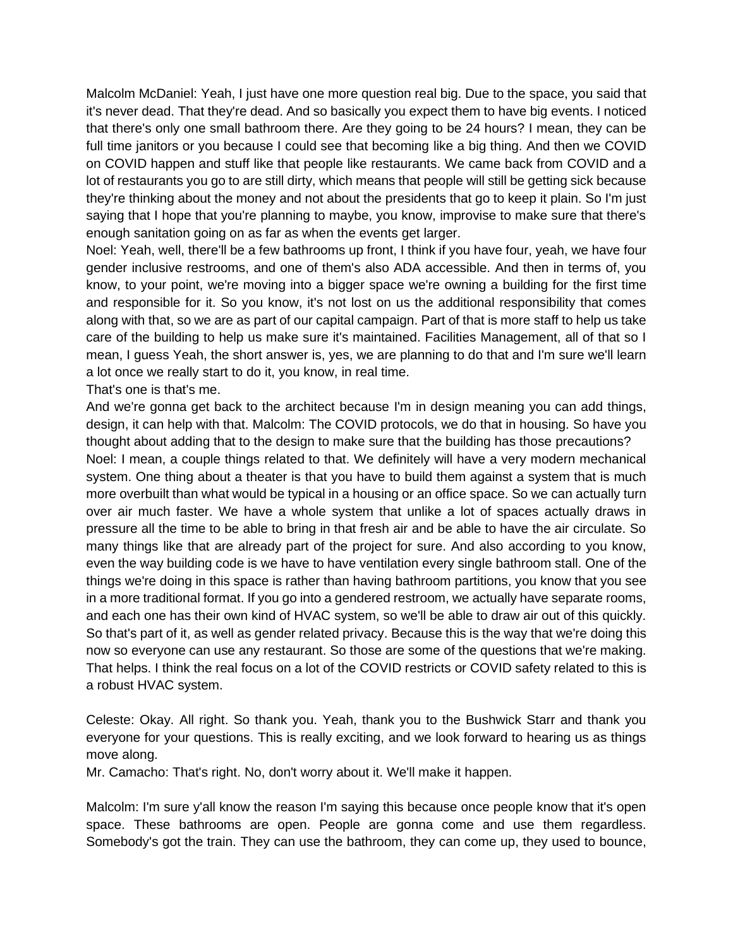Malcolm McDaniel: Yeah, I just have one more question real big. Due to the space, you said that it's never dead. That they're dead. And so basically you expect them to have big events. I noticed that there's only one small bathroom there. Are they going to be 24 hours? I mean, they can be full time janitors or you because I could see that becoming like a big thing. And then we COVID on COVID happen and stuff like that people like restaurants. We came back from COVID and a lot of restaurants you go to are still dirty, which means that people will still be getting sick because they're thinking about the money and not about the presidents that go to keep it plain. So I'm just saying that I hope that you're planning to maybe, you know, improvise to make sure that there's enough sanitation going on as far as when the events get larger.

Noel: Yeah, well, there'll be a few bathrooms up front, I think if you have four, yeah, we have four gender inclusive restrooms, and one of them's also ADA accessible. And then in terms of, you know, to your point, we're moving into a bigger space we're owning a building for the first time and responsible for it. So you know, it's not lost on us the additional responsibility that comes along with that, so we are as part of our capital campaign. Part of that is more staff to help us take care of the building to help us make sure it's maintained. Facilities Management, all of that so I mean, I guess Yeah, the short answer is, yes, we are planning to do that and I'm sure we'll learn a lot once we really start to do it, you know, in real time.

That's one is that's me.

And we're gonna get back to the architect because I'm in design meaning you can add things, design, it can help with that. Malcolm: The COVID protocols, we do that in housing. So have you thought about adding that to the design to make sure that the building has those precautions? Noel: I mean, a couple things related to that. We definitely will have a very modern mechanical system. One thing about a theater is that you have to build them against a system that is much more overbuilt than what would be typical in a housing or an office space. So we can actually turn over air much faster. We have a whole system that unlike a lot of spaces actually draws in pressure all the time to be able to bring in that fresh air and be able to have the air circulate. So many things like that are already part of the project for sure. And also according to you know, even the way building code is we have to have ventilation every single bathroom stall. One of the things we're doing in this space is rather than having bathroom partitions, you know that you see in a more traditional format. If you go into a gendered restroom, we actually have separate rooms, and each one has their own kind of HVAC system, so we'll be able to draw air out of this quickly. So that's part of it, as well as gender related privacy. Because this is the way that we're doing this now so everyone can use any restaurant. So those are some of the questions that we're making. That helps. I think the real focus on a lot of the COVID restricts or COVID safety related to this is a robust HVAC system.

Celeste: Okay. All right. So thank you. Yeah, thank you to the Bushwick Starr and thank you everyone for your questions. This is really exciting, and we look forward to hearing us as things move along.

Mr. Camacho: That's right. No, don't worry about it. We'll make it happen.

Malcolm: I'm sure y'all know the reason I'm saying this because once people know that it's open space. These bathrooms are open. People are gonna come and use them regardless. Somebody's got the train. They can use the bathroom, they can come up, they used to bounce,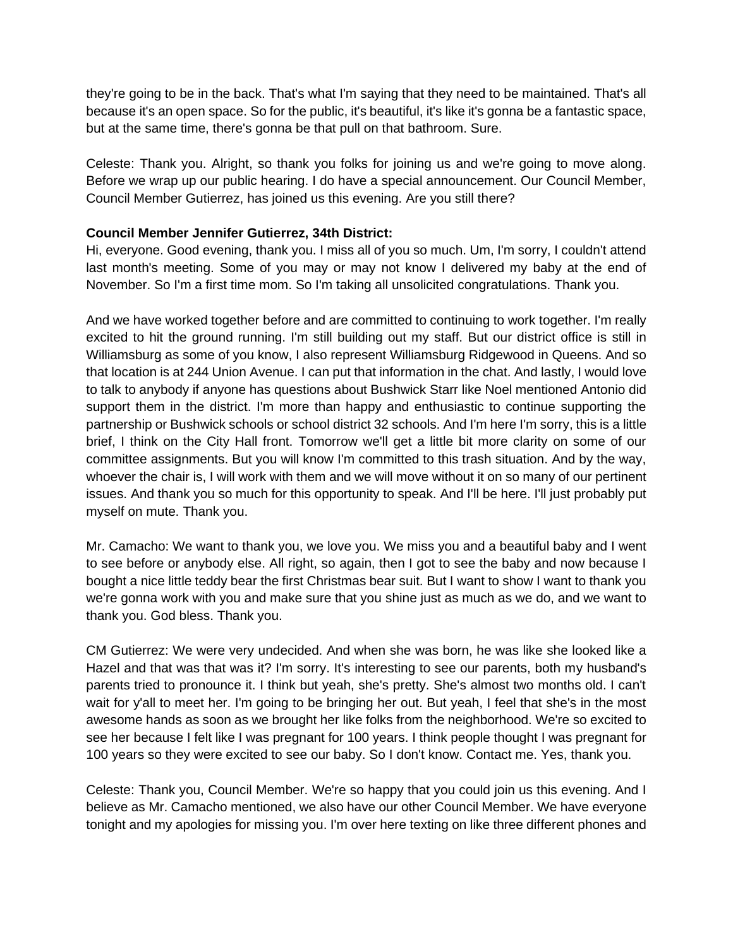they're going to be in the back. That's what I'm saying that they need to be maintained. That's all because it's an open space. So for the public, it's beautiful, it's like it's gonna be a fantastic space, but at the same time, there's gonna be that pull on that bathroom. Sure.

Celeste: Thank you. Alright, so thank you folks for joining us and we're going to move along. Before we wrap up our public hearing. I do have a special announcement. Our Council Member, Council Member Gutierrez, has joined us this evening. Are you still there?

### **Council Member Jennifer Gutierrez, 34th District:**

Hi, everyone. Good evening, thank you. I miss all of you so much. Um, I'm sorry, I couldn't attend last month's meeting. Some of you may or may not know I delivered my baby at the end of November. So I'm a first time mom. So I'm taking all unsolicited congratulations. Thank you.

And we have worked together before and are committed to continuing to work together. I'm really excited to hit the ground running. I'm still building out my staff. But our district office is still in Williamsburg as some of you know, I also represent Williamsburg Ridgewood in Queens. And so that location is at 244 Union Avenue. I can put that information in the chat. And lastly, I would love to talk to anybody if anyone has questions about Bushwick Starr like Noel mentioned Antonio did support them in the district. I'm more than happy and enthusiastic to continue supporting the partnership or Bushwick schools or school district 32 schools. And I'm here I'm sorry, this is a little brief, I think on the City Hall front. Tomorrow we'll get a little bit more clarity on some of our committee assignments. But you will know I'm committed to this trash situation. And by the way, whoever the chair is, I will work with them and we will move without it on so many of our pertinent issues. And thank you so much for this opportunity to speak. And I'll be here. I'll just probably put myself on mute. Thank you.

Mr. Camacho: We want to thank you, we love you. We miss you and a beautiful baby and I went to see before or anybody else. All right, so again, then I got to see the baby and now because I bought a nice little teddy bear the first Christmas bear suit. But I want to show I want to thank you we're gonna work with you and make sure that you shine just as much as we do, and we want to thank you. God bless. Thank you.

CM Gutierrez: We were very undecided. And when she was born, he was like she looked like a Hazel and that was that was it? I'm sorry. It's interesting to see our parents, both my husband's parents tried to pronounce it. I think but yeah, she's pretty. She's almost two months old. I can't wait for y'all to meet her. I'm going to be bringing her out. But yeah, I feel that she's in the most awesome hands as soon as we brought her like folks from the neighborhood. We're so excited to see her because I felt like I was pregnant for 100 years. I think people thought I was pregnant for 100 years so they were excited to see our baby. So I don't know. Contact me. Yes, thank you.

Celeste: Thank you, Council Member. We're so happy that you could join us this evening. And I believe as Mr. Camacho mentioned, we also have our other Council Member. We have everyone tonight and my apologies for missing you. I'm over here texting on like three different phones and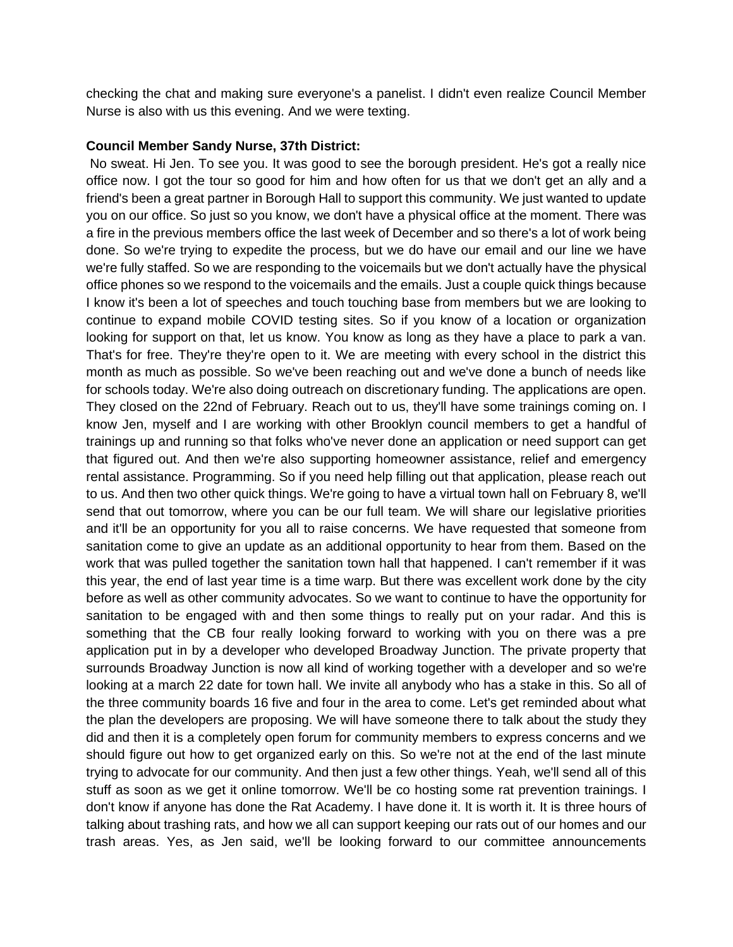checking the chat and making sure everyone's a panelist. I didn't even realize Council Member Nurse is also with us this evening. And we were texting.

#### **Council Member Sandy Nurse, 37th District:**

No sweat. Hi Jen. To see you. It was good to see the borough president. He's got a really nice office now. I got the tour so good for him and how often for us that we don't get an ally and a friend's been a great partner in Borough Hall to support this community. We just wanted to update you on our office. So just so you know, we don't have a physical office at the moment. There was a fire in the previous members office the last week of December and so there's a lot of work being done. So we're trying to expedite the process, but we do have our email and our line we have we're fully staffed. So we are responding to the voicemails but we don't actually have the physical office phones so we respond to the voicemails and the emails. Just a couple quick things because I know it's been a lot of speeches and touch touching base from members but we are looking to continue to expand mobile COVID testing sites. So if you know of a location or organization looking for support on that, let us know. You know as long as they have a place to park a van. That's for free. They're they're open to it. We are meeting with every school in the district this month as much as possible. So we've been reaching out and we've done a bunch of needs like for schools today. We're also doing outreach on discretionary funding. The applications are open. They closed on the 22nd of February. Reach out to us, they'll have some trainings coming on. I know Jen, myself and I are working with other Brooklyn council members to get a handful of trainings up and running so that folks who've never done an application or need support can get that figured out. And then we're also supporting homeowner assistance, relief and emergency rental assistance. Programming. So if you need help filling out that application, please reach out to us. And then two other quick things. We're going to have a virtual town hall on February 8, we'll send that out tomorrow, where you can be our full team. We will share our legislative priorities and it'll be an opportunity for you all to raise concerns. We have requested that someone from sanitation come to give an update as an additional opportunity to hear from them. Based on the work that was pulled together the sanitation town hall that happened. I can't remember if it was this year, the end of last year time is a time warp. But there was excellent work done by the city before as well as other community advocates. So we want to continue to have the opportunity for sanitation to be engaged with and then some things to really put on your radar. And this is something that the CB four really looking forward to working with you on there was a pre application put in by a developer who developed Broadway Junction. The private property that surrounds Broadway Junction is now all kind of working together with a developer and so we're looking at a march 22 date for town hall. We invite all anybody who has a stake in this. So all of the three community boards 16 five and four in the area to come. Let's get reminded about what the plan the developers are proposing. We will have someone there to talk about the study they did and then it is a completely open forum for community members to express concerns and we should figure out how to get organized early on this. So we're not at the end of the last minute trying to advocate for our community. And then just a few other things. Yeah, we'll send all of this stuff as soon as we get it online tomorrow. We'll be co hosting some rat prevention trainings. I don't know if anyone has done the Rat Academy. I have done it. It is worth it. It is three hours of talking about trashing rats, and how we all can support keeping our rats out of our homes and our trash areas. Yes, as Jen said, we'll be looking forward to our committee announcements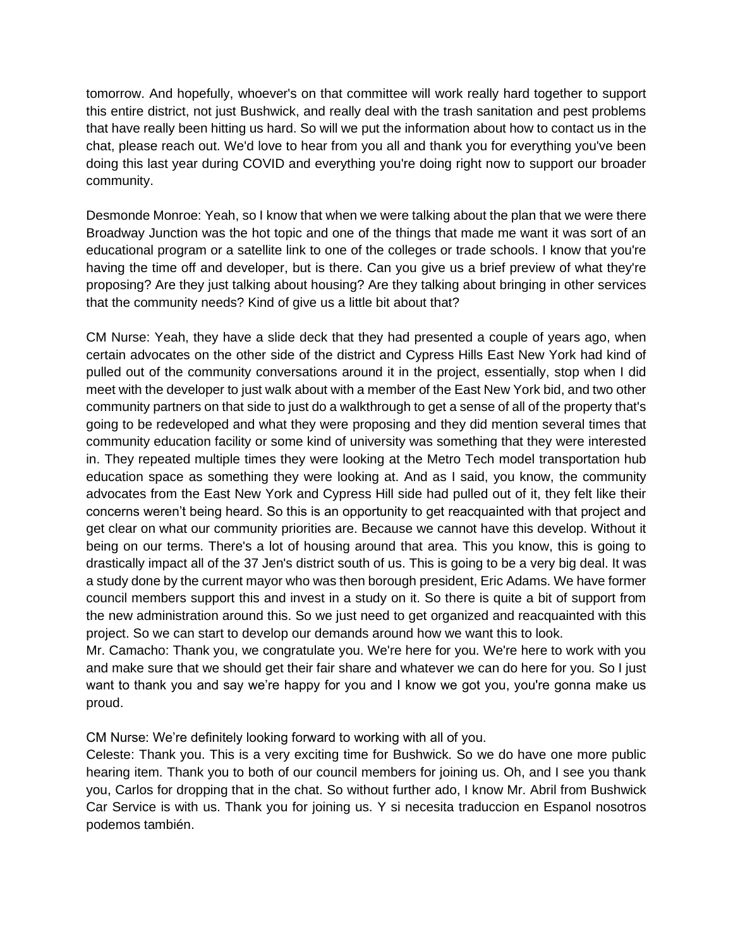tomorrow. And hopefully, whoever's on that committee will work really hard together to support this entire district, not just Bushwick, and really deal with the trash sanitation and pest problems that have really been hitting us hard. So will we put the information about how to contact us in the chat, please reach out. We'd love to hear from you all and thank you for everything you've been doing this last year during COVID and everything you're doing right now to support our broader community.

Desmonde Monroe: Yeah, so I know that when we were talking about the plan that we were there Broadway Junction was the hot topic and one of the things that made me want it was sort of an educational program or a satellite link to one of the colleges or trade schools. I know that you're having the time off and developer, but is there. Can you give us a brief preview of what they're proposing? Are they just talking about housing? Are they talking about bringing in other services that the community needs? Kind of give us a little bit about that?

CM Nurse: Yeah, they have a slide deck that they had presented a couple of years ago, when certain advocates on the other side of the district and Cypress Hills East New York had kind of pulled out of the community conversations around it in the project, essentially, stop when I did meet with the developer to just walk about with a member of the East New York bid, and two other community partners on that side to just do a walkthrough to get a sense of all of the property that's going to be redeveloped and what they were proposing and they did mention several times that community education facility or some kind of university was something that they were interested in. They repeated multiple times they were looking at the Metro Tech model transportation hub education space as something they were looking at. And as I said, you know, the community advocates from the East New York and Cypress Hill side had pulled out of it, they felt like their concerns weren't being heard. So this is an opportunity to get reacquainted with that project and get clear on what our community priorities are. Because we cannot have this develop. Without it being on our terms. There's a lot of housing around that area. This you know, this is going to drastically impact all of the 37 Jen's district south of us. This is going to be a very big deal. It was a study done by the current mayor who was then borough president, Eric Adams. We have former council members support this and invest in a study on it. So there is quite a bit of support from the new administration around this. So we just need to get organized and reacquainted with this project. So we can start to develop our demands around how we want this to look.

Mr. Camacho: Thank you, we congratulate you. We're here for you. We're here to work with you and make sure that we should get their fair share and whatever we can do here for you. So I just want to thank you and say we're happy for you and I know we got you, you're gonna make us proud.

CM Nurse: We're definitely looking forward to working with all of you.

Celeste: Thank you. This is a very exciting time for Bushwick. So we do have one more public hearing item. Thank you to both of our council members for joining us. Oh, and I see you thank you, Carlos for dropping that in the chat. So without further ado, I know Mr. Abril from Bushwick Car Service is with us. Thank you for joining us. Y si necesita traduccion en Espanol nosotros podemos también.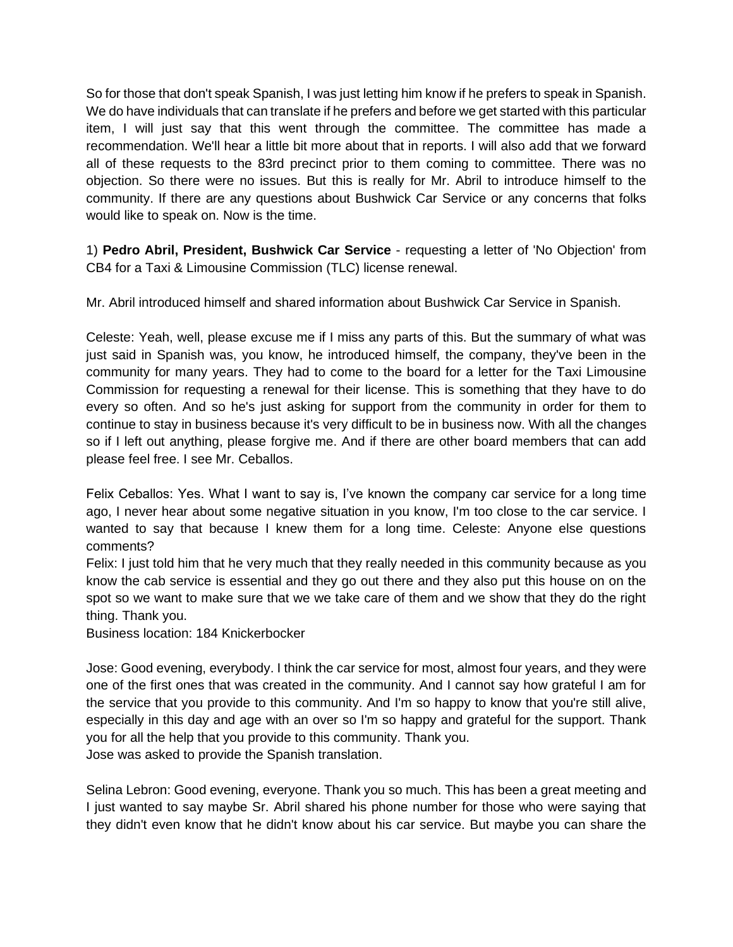So for those that don't speak Spanish, I was just letting him know if he prefers to speak in Spanish. We do have individuals that can translate if he prefers and before we get started with this particular item, I will just say that this went through the committee. The committee has made a recommendation. We'll hear a little bit more about that in reports. I will also add that we forward all of these requests to the 83rd precinct prior to them coming to committee. There was no objection. So there were no issues. But this is really for Mr. Abril to introduce himself to the community. If there are any questions about Bushwick Car Service or any concerns that folks would like to speak on. Now is the time.

1) **Pedro Abril, President, Bushwick Car Service** - requesting a letter of 'No Objection' from CB4 for a Taxi & Limousine Commission (TLC) license renewal.

Mr. Abril introduced himself and shared information about Bushwick Car Service in Spanish.

Celeste: Yeah, well, please excuse me if I miss any parts of this. But the summary of what was just said in Spanish was, you know, he introduced himself, the company, they've been in the community for many years. They had to come to the board for a letter for the Taxi Limousine Commission for requesting a renewal for their license. This is something that they have to do every so often. And so he's just asking for support from the community in order for them to continue to stay in business because it's very difficult to be in business now. With all the changes so if I left out anything, please forgive me. And if there are other board members that can add please feel free. I see Mr. Ceballos.

Felix Ceballos: Yes. What I want to say is, I've known the company car service for a long time ago, I never hear about some negative situation in you know, I'm too close to the car service. I wanted to say that because I knew them for a long time. Celeste: Anyone else questions comments?

Felix: I just told him that he very much that they really needed in this community because as you know the cab service is essential and they go out there and they also put this house on on the spot so we want to make sure that we we take care of them and we show that they do the right thing. Thank you.

Business location: 184 Knickerbocker

Jose: Good evening, everybody. I think the car service for most, almost four years, and they were one of the first ones that was created in the community. And I cannot say how grateful I am for the service that you provide to this community. And I'm so happy to know that you're still alive, especially in this day and age with an over so I'm so happy and grateful for the support. Thank you for all the help that you provide to this community. Thank you. Jose was asked to provide the Spanish translation.

Selina Lebron: Good evening, everyone. Thank you so much. This has been a great meeting and I just wanted to say maybe Sr. Abril shared his phone number for those who were saying that they didn't even know that he didn't know about his car service. But maybe you can share the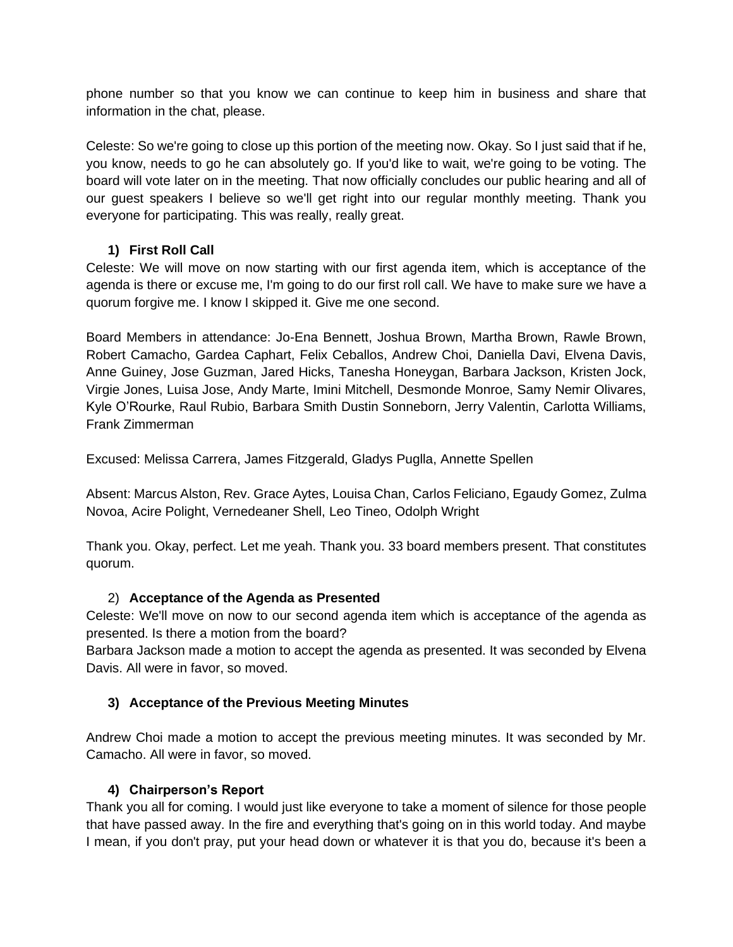phone number so that you know we can continue to keep him in business and share that information in the chat, please.

Celeste: So we're going to close up this portion of the meeting now. Okay. So I just said that if he, you know, needs to go he can absolutely go. If you'd like to wait, we're going to be voting. The board will vote later on in the meeting. That now officially concludes our public hearing and all of our guest speakers I believe so we'll get right into our regular monthly meeting. Thank you everyone for participating. This was really, really great.

## **1) First Roll Call**

Celeste: We will move on now starting with our first agenda item, which is acceptance of the agenda is there or excuse me, I'm going to do our first roll call. We have to make sure we have a quorum forgive me. I know I skipped it. Give me one second.

Board Members in attendance: Jo-Ena Bennett, Joshua Brown, Martha Brown, Rawle Brown, Robert Camacho, Gardea Caphart, Felix Ceballos, Andrew Choi, Daniella Davi, Elvena Davis, Anne Guiney, Jose Guzman, Jared Hicks, Tanesha Honeygan, Barbara Jackson, Kristen Jock, Virgie Jones, Luisa Jose, Andy Marte, Imini Mitchell, Desmonde Monroe, Samy Nemir Olivares, Kyle O'Rourke, Raul Rubio, Barbara Smith Dustin Sonneborn, Jerry Valentin, Carlotta Williams, Frank Zimmerman

Excused: Melissa Carrera, James Fitzgerald, Gladys Puglla, Annette Spellen

Absent: Marcus Alston, Rev. Grace Aytes, Louisa Chan, Carlos Feliciano, Egaudy Gomez, Zulma Novoa, Acire Polight, Vernedeaner Shell, Leo Tineo, Odolph Wright

Thank you. Okay, perfect. Let me yeah. Thank you. 33 board members present. That constitutes quorum.

### 2) **Acceptance of the Agenda as Presented**

Celeste: We'll move on now to our second agenda item which is acceptance of the agenda as presented. Is there a motion from the board?

Barbara Jackson made a motion to accept the agenda as presented. It was seconded by Elvena Davis. All were in favor, so moved.

## **3) Acceptance of the Previous Meeting Minutes**

Andrew Choi made a motion to accept the previous meeting minutes. It was seconded by Mr. Camacho. All were in favor, so moved.

### **4) Chairperson's Report**

Thank you all for coming. I would just like everyone to take a moment of silence for those people that have passed away. In the fire and everything that's going on in this world today. And maybe I mean, if you don't pray, put your head down or whatever it is that you do, because it's been a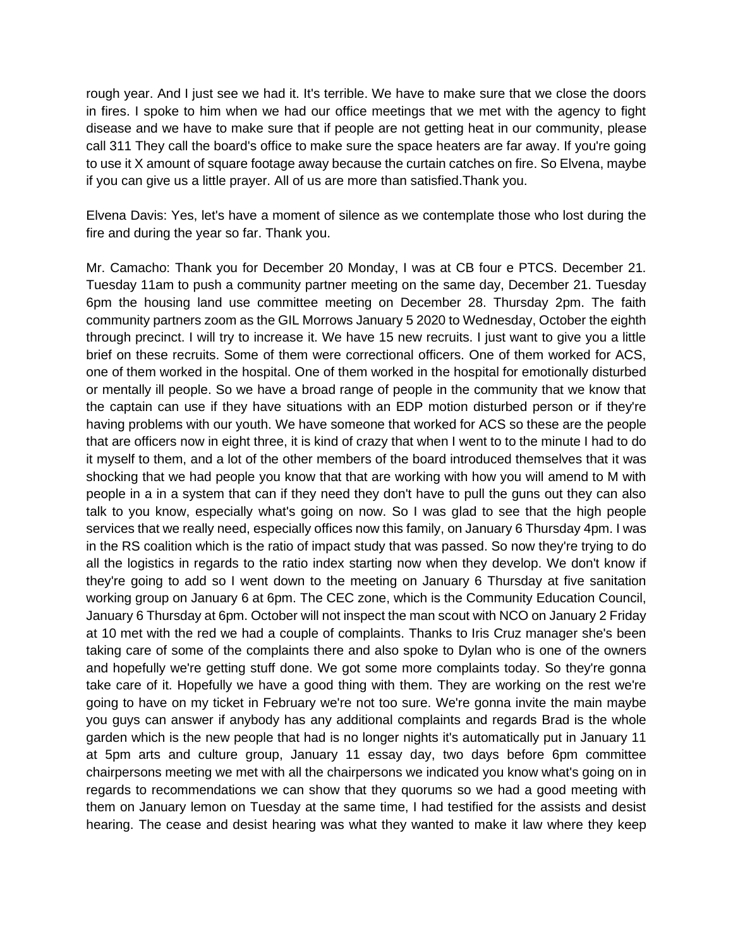rough year. And I just see we had it. It's terrible. We have to make sure that we close the doors in fires. I spoke to him when we had our office meetings that we met with the agency to fight disease and we have to make sure that if people are not getting heat in our community, please call 311 They call the board's office to make sure the space heaters are far away. If you're going to use it X amount of square footage away because the curtain catches on fire. So Elvena, maybe if you can give us a little prayer. All of us are more than satisfied.Thank you.

Elvena Davis: Yes, let's have a moment of silence as we contemplate those who lost during the fire and during the year so far. Thank you.

Mr. Camacho: Thank you for December 20 Monday, I was at CB four e PTCS. December 21. Tuesday 11am to push a community partner meeting on the same day, December 21. Tuesday 6pm the housing land use committee meeting on December 28. Thursday 2pm. The faith community partners zoom as the GIL Morrows January 5 2020 to Wednesday, October the eighth through precinct. I will try to increase it. We have 15 new recruits. I just want to give you a little brief on these recruits. Some of them were correctional officers. One of them worked for ACS, one of them worked in the hospital. One of them worked in the hospital for emotionally disturbed or mentally ill people. So we have a broad range of people in the community that we know that the captain can use if they have situations with an EDP motion disturbed person or if they're having problems with our youth. We have someone that worked for ACS so these are the people that are officers now in eight three, it is kind of crazy that when I went to to the minute I had to do it myself to them, and a lot of the other members of the board introduced themselves that it was shocking that we had people you know that that are working with how you will amend to M with people in a in a system that can if they need they don't have to pull the guns out they can also talk to you know, especially what's going on now. So I was glad to see that the high people services that we really need, especially offices now this family, on January 6 Thursday 4pm. I was in the RS coalition which is the ratio of impact study that was passed. So now they're trying to do all the logistics in regards to the ratio index starting now when they develop. We don't know if they're going to add so I went down to the meeting on January 6 Thursday at five sanitation working group on January 6 at 6pm. The CEC zone, which is the Community Education Council, January 6 Thursday at 6pm. October will not inspect the man scout with NCO on January 2 Friday at 10 met with the red we had a couple of complaints. Thanks to Iris Cruz manager she's been taking care of some of the complaints there and also spoke to Dylan who is one of the owners and hopefully we're getting stuff done. We got some more complaints today. So they're gonna take care of it. Hopefully we have a good thing with them. They are working on the rest we're going to have on my ticket in February we're not too sure. We're gonna invite the main maybe you guys can answer if anybody has any additional complaints and regards Brad is the whole garden which is the new people that had is no longer nights it's automatically put in January 11 at 5pm arts and culture group, January 11 essay day, two days before 6pm committee chairpersons meeting we met with all the chairpersons we indicated you know what's going on in regards to recommendations we can show that they quorums so we had a good meeting with them on January lemon on Tuesday at the same time, I had testified for the assists and desist hearing. The cease and desist hearing was what they wanted to make it law where they keep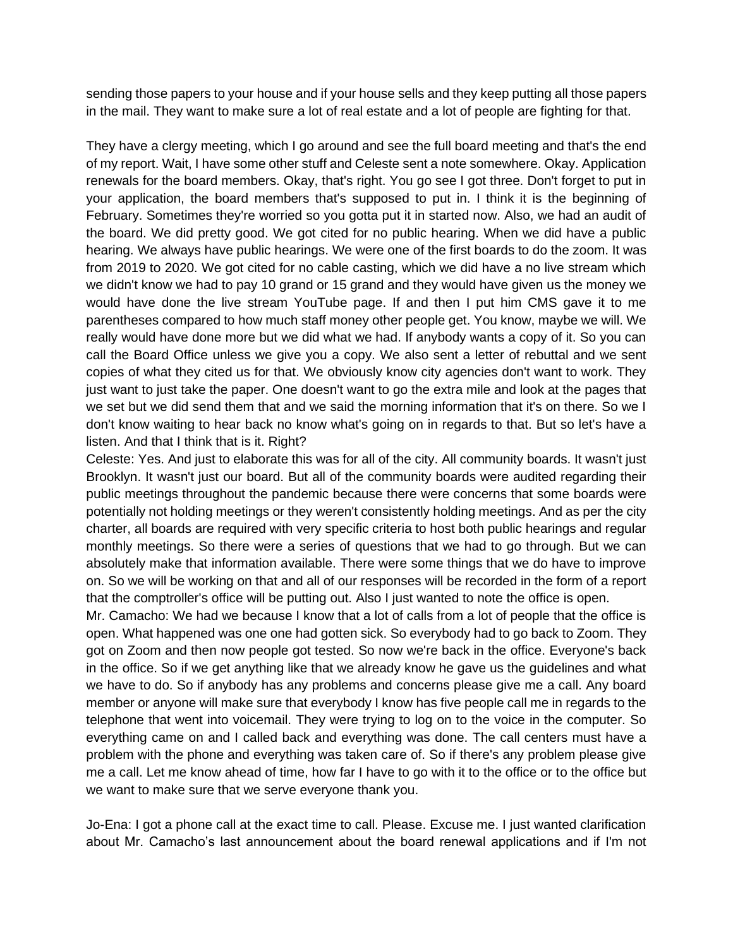sending those papers to your house and if your house sells and they keep putting all those papers in the mail. They want to make sure a lot of real estate and a lot of people are fighting for that.

They have a clergy meeting, which I go around and see the full board meeting and that's the end of my report. Wait, I have some other stuff and Celeste sent a note somewhere. Okay. Application renewals for the board members. Okay, that's right. You go see I got three. Don't forget to put in your application, the board members that's supposed to put in. I think it is the beginning of February. Sometimes they're worried so you gotta put it in started now. Also, we had an audit of the board. We did pretty good. We got cited for no public hearing. When we did have a public hearing. We always have public hearings. We were one of the first boards to do the zoom. It was from 2019 to 2020. We got cited for no cable casting, which we did have a no live stream which we didn't know we had to pay 10 grand or 15 grand and they would have given us the money we would have done the live stream YouTube page. If and then I put him CMS gave it to me parentheses compared to how much staff money other people get. You know, maybe we will. We really would have done more but we did what we had. If anybody wants a copy of it. So you can call the Board Office unless we give you a copy. We also sent a letter of rebuttal and we sent copies of what they cited us for that. We obviously know city agencies don't want to work. They just want to just take the paper. One doesn't want to go the extra mile and look at the pages that we set but we did send them that and we said the morning information that it's on there. So we I don't know waiting to hear back no know what's going on in regards to that. But so let's have a listen. And that I think that is it. Right?

Celeste: Yes. And just to elaborate this was for all of the city. All community boards. It wasn't just Brooklyn. It wasn't just our board. But all of the community boards were audited regarding their public meetings throughout the pandemic because there were concerns that some boards were potentially not holding meetings or they weren't consistently holding meetings. And as per the city charter, all boards are required with very specific criteria to host both public hearings and regular monthly meetings. So there were a series of questions that we had to go through. But we can absolutely make that information available. There were some things that we do have to improve on. So we will be working on that and all of our responses will be recorded in the form of a report that the comptroller's office will be putting out. Also I just wanted to note the office is open.

Mr. Camacho: We had we because I know that a lot of calls from a lot of people that the office is open. What happened was one one had gotten sick. So everybody had to go back to Zoom. They got on Zoom and then now people got tested. So now we're back in the office. Everyone's back in the office. So if we get anything like that we already know he gave us the guidelines and what we have to do. So if anybody has any problems and concerns please give me a call. Any board member or anyone will make sure that everybody I know has five people call me in regards to the telephone that went into voicemail. They were trying to log on to the voice in the computer. So everything came on and I called back and everything was done. The call centers must have a problem with the phone and everything was taken care of. So if there's any problem please give me a call. Let me know ahead of time, how far I have to go with it to the office or to the office but we want to make sure that we serve everyone thank you.

Jo-Ena: I got a phone call at the exact time to call. Please. Excuse me. I just wanted clarification about Mr. Camacho's last announcement about the board renewal applications and if I'm not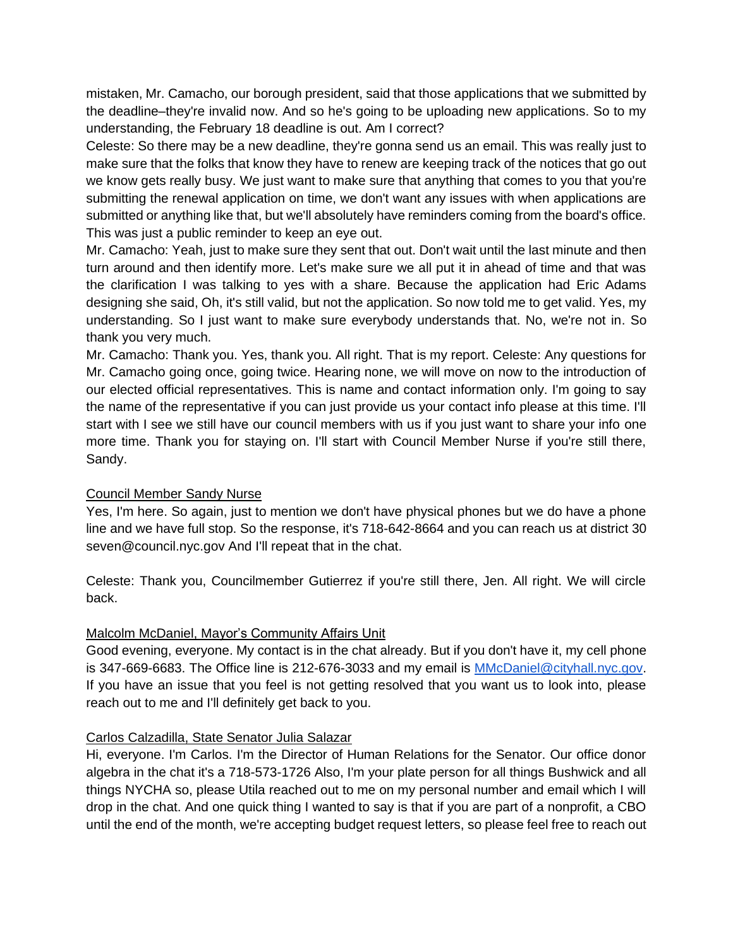mistaken, Mr. Camacho, our borough president, said that those applications that we submitted by the deadline–they're invalid now. And so he's going to be uploading new applications. So to my understanding, the February 18 deadline is out. Am I correct?

Celeste: So there may be a new deadline, they're gonna send us an email. This was really just to make sure that the folks that know they have to renew are keeping track of the notices that go out we know gets really busy. We just want to make sure that anything that comes to you that you're submitting the renewal application on time, we don't want any issues with when applications are submitted or anything like that, but we'll absolutely have reminders coming from the board's office. This was just a public reminder to keep an eye out.

Mr. Camacho: Yeah, just to make sure they sent that out. Don't wait until the last minute and then turn around and then identify more. Let's make sure we all put it in ahead of time and that was the clarification I was talking to yes with a share. Because the application had Eric Adams designing she said, Oh, it's still valid, but not the application. So now told me to get valid. Yes, my understanding. So I just want to make sure everybody understands that. No, we're not in. So thank you very much.

Mr. Camacho: Thank you. Yes, thank you. All right. That is my report. Celeste: Any questions for Mr. Camacho going once, going twice. Hearing none, we will move on now to the introduction of our elected official representatives. This is name and contact information only. I'm going to say the name of the representative if you can just provide us your contact info please at this time. I'll start with I see we still have our council members with us if you just want to share your info one more time. Thank you for staying on. I'll start with Council Member Nurse if you're still there, Sandy.

### Council Member Sandy Nurse

Yes, I'm here. So again, just to mention we don't have physical phones but we do have a phone line and we have full stop. So the response, it's 718-642-8664 and you can reach us at district 30 seven@council.nyc.gov And I'll repeat that in the chat.

Celeste: Thank you, Councilmember Gutierrez if you're still there, Jen. All right. We will circle back.

### Malcolm McDaniel, Mayor's Community Affairs Unit

Good evening, everyone. My contact is in the chat already. But if you don't have it, my cell phone is 347-669-6683. The Office line is 212-676-3033 and my email is [MMcDaniel@cityhall.nyc.gov.](mailto:MMcDaniel@cityhall.nyc.gov) If you have an issue that you feel is not getting resolved that you want us to look into, please reach out to me and I'll definitely get back to you.

### Carlos Calzadilla, State Senator Julia Salazar

Hi, everyone. I'm Carlos. I'm the Director of Human Relations for the Senator. Our office donor algebra in the chat it's a 718-573-1726 Also, I'm your plate person for all things Bushwick and all things NYCHA so, please Utila reached out to me on my personal number and email which I will drop in the chat. And one quick thing I wanted to say is that if you are part of a nonprofit, a CBO until the end of the month, we're accepting budget request letters, so please feel free to reach out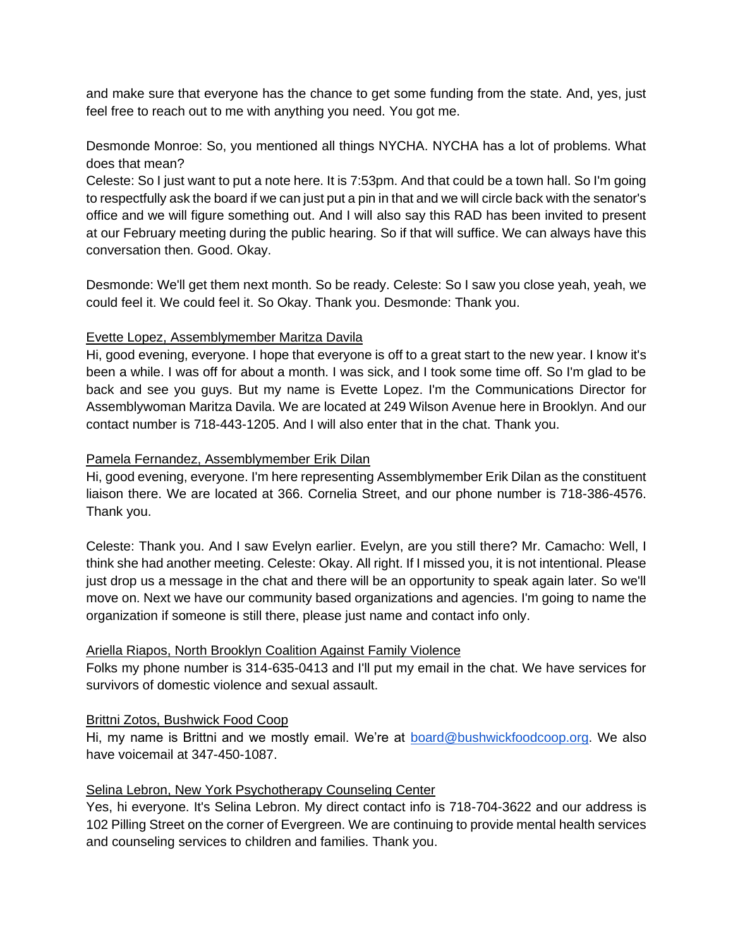and make sure that everyone has the chance to get some funding from the state. And, yes, just feel free to reach out to me with anything you need. You got me.

Desmonde Monroe: So, you mentioned all things NYCHA. NYCHA has a lot of problems. What does that mean?

Celeste: So I just want to put a note here. It is 7:53pm. And that could be a town hall. So I'm going to respectfully ask the board if we can just put a pin in that and we will circle back with the senator's office and we will figure something out. And I will also say this RAD has been invited to present at our February meeting during the public hearing. So if that will suffice. We can always have this conversation then. Good. Okay.

Desmonde: We'll get them next month. So be ready. Celeste: So I saw you close yeah, yeah, we could feel it. We could feel it. So Okay. Thank you. Desmonde: Thank you.

### Evette Lopez, Assemblymember Maritza Davila

Hi, good evening, everyone. I hope that everyone is off to a great start to the new year. I know it's been a while. I was off for about a month. I was sick, and I took some time off. So I'm glad to be back and see you guys. But my name is Evette Lopez. I'm the Communications Director for Assemblywoman Maritza Davila. We are located at 249 Wilson Avenue here in Brooklyn. And our contact number is 718-443-1205. And I will also enter that in the chat. Thank you.

## Pamela Fernandez, Assemblymember Erik Dilan

Hi, good evening, everyone. I'm here representing Assemblymember Erik Dilan as the constituent liaison there. We are located at 366. Cornelia Street, and our phone number is 718-386-4576. Thank you.

Celeste: Thank you. And I saw Evelyn earlier. Evelyn, are you still there? Mr. Camacho: Well, I think she had another meeting. Celeste: Okay. All right. If I missed you, it is not intentional. Please just drop us a message in the chat and there will be an opportunity to speak again later. So we'll move on. Next we have our community based organizations and agencies. I'm going to name the organization if someone is still there, please just name and contact info only.

## Ariella Riapos, North Brooklyn Coalition Against Family Violence

Folks my phone number is 314-635-0413 and I'll put my email in the chat. We have services for survivors of domestic violence and sexual assault.

### Brittni Zotos, Bushwick Food Coop

Hi, my name is Brittni and we mostly email. We're at [board@bushwickfoodcoop.org.](mailto:board@bushwickfoodcoop.org) We also have voicemail at 347-450-1087.

## Selina Lebron, New York Psychotherapy Counseling Center

Yes, hi everyone. It's Selina Lebron. My direct contact info is 718-704-3622 and our address is 102 Pilling Street on the corner of Evergreen. We are continuing to provide mental health services and counseling services to children and families. Thank you.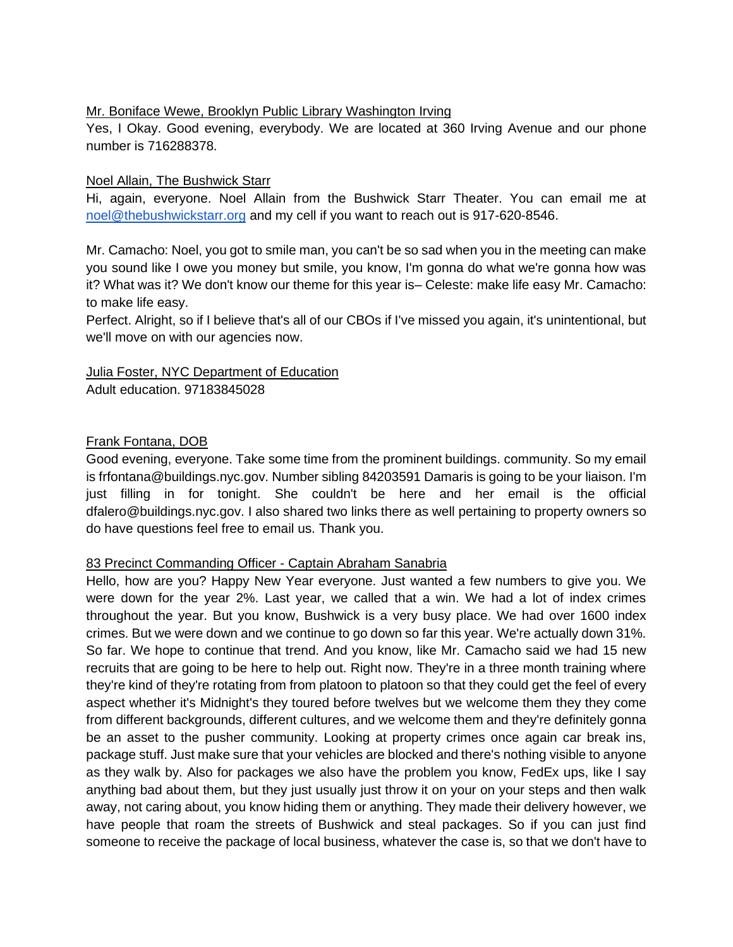### Mr. Boniface Wewe, Brooklyn Public Library Washington Irving

Yes, I Okay. Good evening, everybody. We are located at 360 Irving Avenue and our phone number is 716288378.

### Noel Allain, The Bushwick Starr

Hi, again, everyone. Noel Allain from the Bushwick Starr Theater. You can email me at [noel@thebushwickstarr.org](mailto:noel@thebushwickstarr.org) and my cell if you want to reach out is 917-620-8546.

Mr. Camacho: Noel, you got to smile man, you can't be so sad when you in the meeting can make you sound like I owe you money but smile, you know, I'm gonna do what we're gonna how was it? What was it? We don't know our theme for this year is– Celeste: make life easy Mr. Camacho: to make life easy.

Perfect. Alright, so if I believe that's all of our CBOs if I've missed you again, it's unintentional, but we'll move on with our agencies now.

### Julia Foster, NYC Department of Education Adult education. 97183845028

### Frank Fontana, DOB

Good evening, everyone. Take some time from the prominent buildings. community. So my email is frfontana@buildings.nyc.gov. Number sibling 84203591 Damaris is going to be your liaison. I'm just filling in for tonight. She couldn't be here and her email is the official dfalero@buildings.nyc.gov. I also shared two links there as well pertaining to property owners so do have questions feel free to email us. Thank you.

### 83 Precinct Commanding Officer - Captain Abraham Sanabria

Hello, how are you? Happy New Year everyone. Just wanted a few numbers to give you. We were down for the year 2%. Last year, we called that a win. We had a lot of index crimes throughout the year. But you know, Bushwick is a very busy place. We had over 1600 index crimes. But we were down and we continue to go down so far this year. We're actually down 31%. So far. We hope to continue that trend. And you know, like Mr. Camacho said we had 15 new recruits that are going to be here to help out. Right now. They're in a three month training where they're kind of they're rotating from from platoon to platoon so that they could get the feel of every aspect whether it's Midnight's they toured before twelves but we welcome them they they come from different backgrounds, different cultures, and we welcome them and they're definitely gonna be an asset to the pusher community. Looking at property crimes once again car break ins, package stuff. Just make sure that your vehicles are blocked and there's nothing visible to anyone as they walk by. Also for packages we also have the problem you know, FedEx ups, like I say anything bad about them, but they just usually just throw it on your on your steps and then walk away, not caring about, you know hiding them or anything. They made their delivery however, we have people that roam the streets of Bushwick and steal packages. So if you can just find someone to receive the package of local business, whatever the case is, so that we don't have to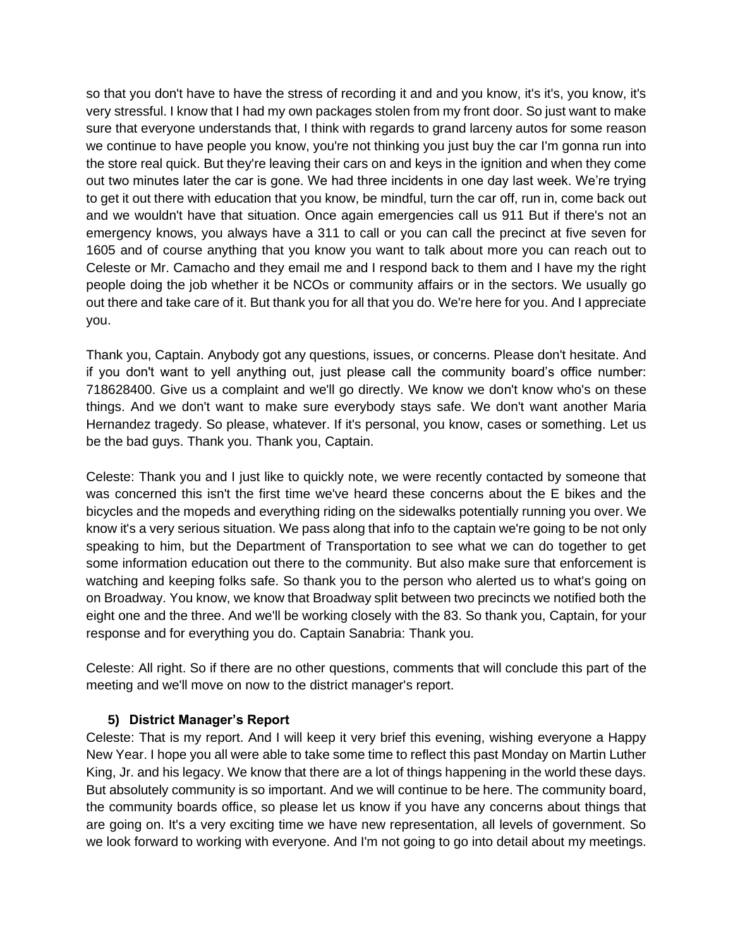so that you don't have to have the stress of recording it and and you know, it's it's, you know, it's very stressful. I know that I had my own packages stolen from my front door. So just want to make sure that everyone understands that, I think with regards to grand larceny autos for some reason we continue to have people you know, you're not thinking you just buy the car I'm gonna run into the store real quick. But they're leaving their cars on and keys in the ignition and when they come out two minutes later the car is gone. We had three incidents in one day last week. We're trying to get it out there with education that you know, be mindful, turn the car off, run in, come back out and we wouldn't have that situation. Once again emergencies call us 911 But if there's not an emergency knows, you always have a 311 to call or you can call the precinct at five seven for 1605 and of course anything that you know you want to talk about more you can reach out to Celeste or Mr. Camacho and they email me and I respond back to them and I have my the right people doing the job whether it be NCOs or community affairs or in the sectors. We usually go out there and take care of it. But thank you for all that you do. We're here for you. And I appreciate you.

Thank you, Captain. Anybody got any questions, issues, or concerns. Please don't hesitate. And if you don't want to yell anything out, just please call the community board's office number: 718628400. Give us a complaint and we'll go directly. We know we don't know who's on these things. And we don't want to make sure everybody stays safe. We don't want another Maria Hernandez tragedy. So please, whatever. If it's personal, you know, cases or something. Let us be the bad guys. Thank you. Thank you, Captain.

Celeste: Thank you and I just like to quickly note, we were recently contacted by someone that was concerned this isn't the first time we've heard these concerns about the E bikes and the bicycles and the mopeds and everything riding on the sidewalks potentially running you over. We know it's a very serious situation. We pass along that info to the captain we're going to be not only speaking to him, but the Department of Transportation to see what we can do together to get some information education out there to the community. But also make sure that enforcement is watching and keeping folks safe. So thank you to the person who alerted us to what's going on on Broadway. You know, we know that Broadway split between two precincts we notified both the eight one and the three. And we'll be working closely with the 83. So thank you, Captain, for your response and for everything you do. Captain Sanabria: Thank you.

Celeste: All right. So if there are no other questions, comments that will conclude this part of the meeting and we'll move on now to the district manager's report.

## **5) District Manager's Report**

Celeste: That is my report. And I will keep it very brief this evening, wishing everyone a Happy New Year. I hope you all were able to take some time to reflect this past Monday on Martin Luther King, Jr. and his legacy. We know that there are a lot of things happening in the world these days. But absolutely community is so important. And we will continue to be here. The community board, the community boards office, so please let us know if you have any concerns about things that are going on. It's a very exciting time we have new representation, all levels of government. So we look forward to working with everyone. And I'm not going to go into detail about my meetings.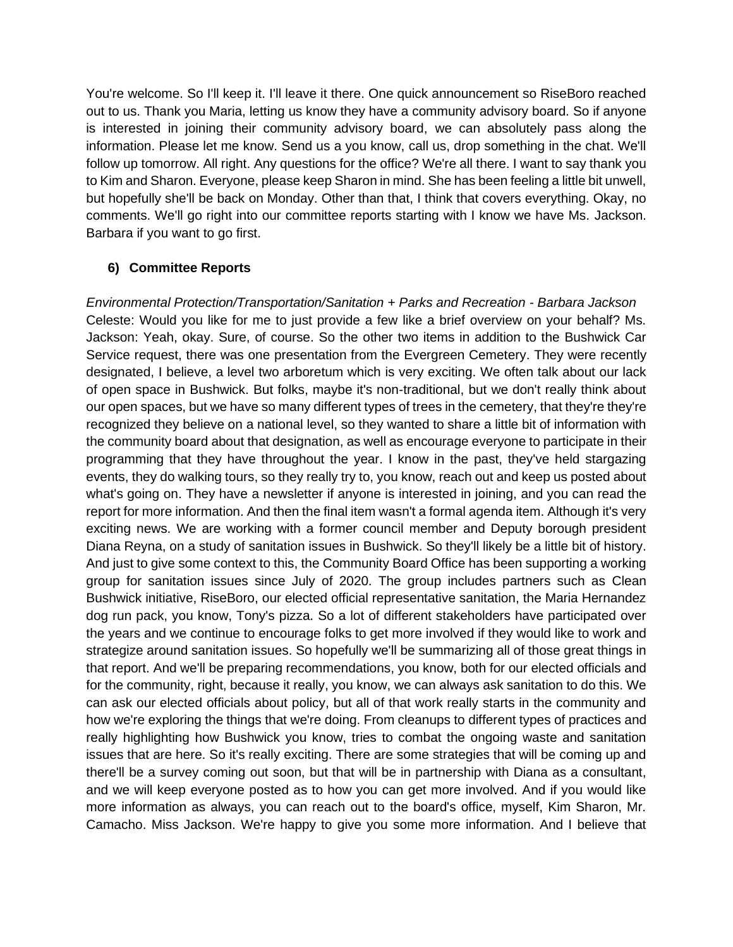You're welcome. So I'll keep it. I'll leave it there. One quick announcement so RiseBoro reached out to us. Thank you Maria, letting us know they have a community advisory board. So if anyone is interested in joining their community advisory board, we can absolutely pass along the information. Please let me know. Send us a you know, call us, drop something in the chat. We'll follow up tomorrow. All right. Any questions for the office? We're all there. I want to say thank you to Kim and Sharon. Everyone, please keep Sharon in mind. She has been feeling a little bit unwell, but hopefully she'll be back on Monday. Other than that, I think that covers everything. Okay, no comments. We'll go right into our committee reports starting with I know we have Ms. Jackson. Barbara if you want to go first.

## **6) Committee Reports**

*Environmental Protection/Transportation/Sanitation + Parks and Recreation - Barbara Jackson* Celeste: Would you like for me to just provide a few like a brief overview on your behalf? Ms. Jackson: Yeah, okay. Sure, of course. So the other two items in addition to the Bushwick Car Service request, there was one presentation from the Evergreen Cemetery. They were recently designated, I believe, a level two arboretum which is very exciting. We often talk about our lack of open space in Bushwick. But folks, maybe it's non-traditional, but we don't really think about our open spaces, but we have so many different types of trees in the cemetery, that they're they're recognized they believe on a national level, so they wanted to share a little bit of information with the community board about that designation, as well as encourage everyone to participate in their programming that they have throughout the year. I know in the past, they've held stargazing events, they do walking tours, so they really try to, you know, reach out and keep us posted about what's going on. They have a newsletter if anyone is interested in joining, and you can read the report for more information. And then the final item wasn't a formal agenda item. Although it's very exciting news. We are working with a former council member and Deputy borough president Diana Reyna, on a study of sanitation issues in Bushwick. So they'll likely be a little bit of history. And just to give some context to this, the Community Board Office has been supporting a working group for sanitation issues since July of 2020. The group includes partners such as Clean Bushwick initiative, RiseBoro, our elected official representative sanitation, the Maria Hernandez dog run pack, you know, Tony's pizza. So a lot of different stakeholders have participated over the years and we continue to encourage folks to get more involved if they would like to work and strategize around sanitation issues. So hopefully we'll be summarizing all of those great things in that report. And we'll be preparing recommendations, you know, both for our elected officials and for the community, right, because it really, you know, we can always ask sanitation to do this. We can ask our elected officials about policy, but all of that work really starts in the community and how we're exploring the things that we're doing. From cleanups to different types of practices and really highlighting how Bushwick you know, tries to combat the ongoing waste and sanitation issues that are here. So it's really exciting. There are some strategies that will be coming up and there'll be a survey coming out soon, but that will be in partnership with Diana as a consultant, and we will keep everyone posted as to how you can get more involved. And if you would like more information as always, you can reach out to the board's office, myself, Kim Sharon, Mr. Camacho. Miss Jackson. We're happy to give you some more information. And I believe that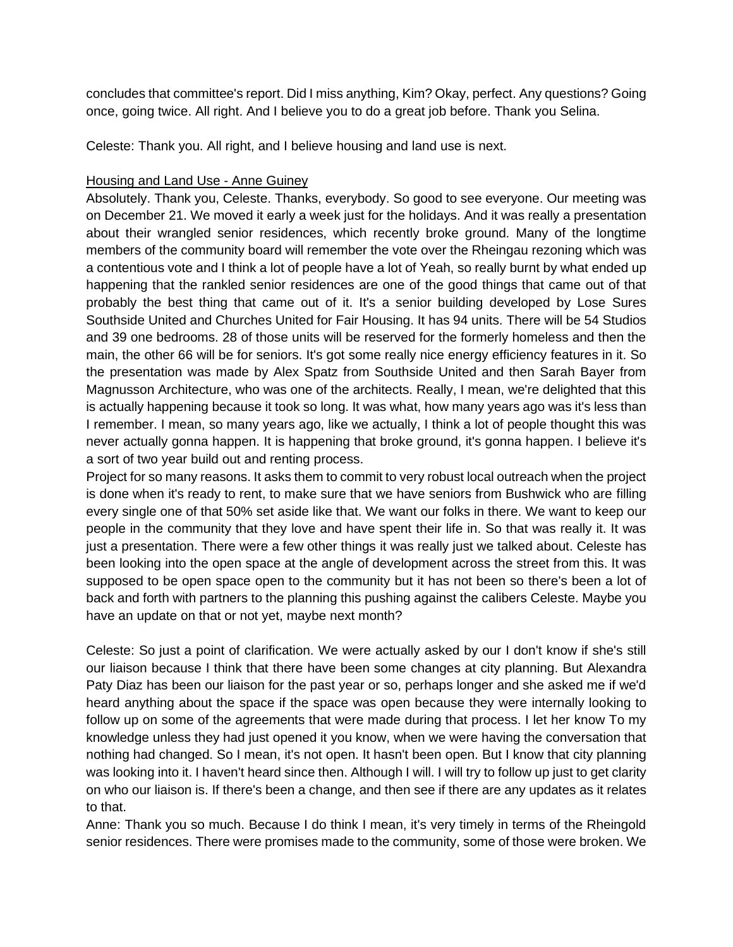concludes that committee's report. Did I miss anything, Kim? Okay, perfect. Any questions? Going once, going twice. All right. And I believe you to do a great job before. Thank you Selina.

Celeste: Thank you. All right, and I believe housing and land use is next.

### Housing and Land Use - Anne Guiney

Absolutely. Thank you, Celeste. Thanks, everybody. So good to see everyone. Our meeting was on December 21. We moved it early a week just for the holidays. And it was really a presentation about their wrangled senior residences, which recently broke ground. Many of the longtime members of the community board will remember the vote over the Rheingau rezoning which was a contentious vote and I think a lot of people have a lot of Yeah, so really burnt by what ended up happening that the rankled senior residences are one of the good things that came out of that probably the best thing that came out of it. It's a senior building developed by Lose Sures Southside United and Churches United for Fair Housing. It has 94 units. There will be 54 Studios and 39 one bedrooms. 28 of those units will be reserved for the formerly homeless and then the main, the other 66 will be for seniors. It's got some really nice energy efficiency features in it. So the presentation was made by Alex Spatz from Southside United and then Sarah Bayer from Magnusson Architecture, who was one of the architects. Really, I mean, we're delighted that this is actually happening because it took so long. It was what, how many years ago was it's less than I remember. I mean, so many years ago, like we actually, I think a lot of people thought this was never actually gonna happen. It is happening that broke ground, it's gonna happen. I believe it's a sort of two year build out and renting process.

Project for so many reasons. It asks them to commit to very robust local outreach when the project is done when it's ready to rent, to make sure that we have seniors from Bushwick who are filling every single one of that 50% set aside like that. We want our folks in there. We want to keep our people in the community that they love and have spent their life in. So that was really it. It was just a presentation. There were a few other things it was really just we talked about. Celeste has been looking into the open space at the angle of development across the street from this. It was supposed to be open space open to the community but it has not been so there's been a lot of back and forth with partners to the planning this pushing against the calibers Celeste. Maybe you have an update on that or not yet, maybe next month?

Celeste: So just a point of clarification. We were actually asked by our I don't know if she's still our liaison because I think that there have been some changes at city planning. But Alexandra Paty Diaz has been our liaison for the past year or so, perhaps longer and she asked me if we'd heard anything about the space if the space was open because they were internally looking to follow up on some of the agreements that were made during that process. I let her know To my knowledge unless they had just opened it you know, when we were having the conversation that nothing had changed. So I mean, it's not open. It hasn't been open. But I know that city planning was looking into it. I haven't heard since then. Although I will. I will try to follow up just to get clarity on who our liaison is. If there's been a change, and then see if there are any updates as it relates to that.

Anne: Thank you so much. Because I do think I mean, it's very timely in terms of the Rheingold senior residences. There were promises made to the community, some of those were broken. We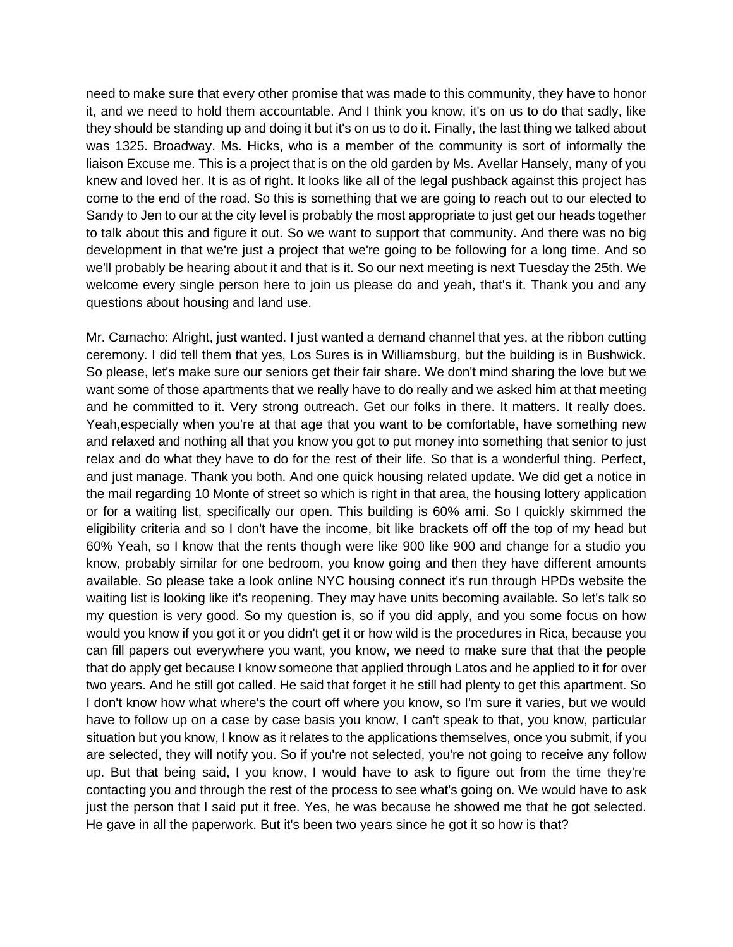need to make sure that every other promise that was made to this community, they have to honor it, and we need to hold them accountable. And I think you know, it's on us to do that sadly, like they should be standing up and doing it but it's on us to do it. Finally, the last thing we talked about was 1325. Broadway. Ms. Hicks, who is a member of the community is sort of informally the liaison Excuse me. This is a project that is on the old garden by Ms. Avellar Hansely, many of you knew and loved her. It is as of right. It looks like all of the legal pushback against this project has come to the end of the road. So this is something that we are going to reach out to our elected to Sandy to Jen to our at the city level is probably the most appropriate to just get our heads together to talk about this and figure it out. So we want to support that community. And there was no big development in that we're just a project that we're going to be following for a long time. And so we'll probably be hearing about it and that is it. So our next meeting is next Tuesday the 25th. We welcome every single person here to join us please do and yeah, that's it. Thank you and any questions about housing and land use.

Mr. Camacho: Alright, just wanted. I just wanted a demand channel that yes, at the ribbon cutting ceremony. I did tell them that yes, Los Sures is in Williamsburg, but the building is in Bushwick. So please, let's make sure our seniors get their fair share. We don't mind sharing the love but we want some of those apartments that we really have to do really and we asked him at that meeting and he committed to it. Very strong outreach. Get our folks in there. It matters. It really does. Yeah,especially when you're at that age that you want to be comfortable, have something new and relaxed and nothing all that you know you got to put money into something that senior to just relax and do what they have to do for the rest of their life. So that is a wonderful thing. Perfect, and just manage. Thank you both. And one quick housing related update. We did get a notice in the mail regarding 10 Monte of street so which is right in that area, the housing lottery application or for a waiting list, specifically our open. This building is 60% ami. So I quickly skimmed the eligibility criteria and so I don't have the income, bit like brackets off off the top of my head but 60% Yeah, so I know that the rents though were like 900 like 900 and change for a studio you know, probably similar for one bedroom, you know going and then they have different amounts available. So please take a look online NYC housing connect it's run through HPDs website the waiting list is looking like it's reopening. They may have units becoming available. So let's talk so my question is very good. So my question is, so if you did apply, and you some focus on how would you know if you got it or you didn't get it or how wild is the procedures in Rica, because you can fill papers out everywhere you want, you know, we need to make sure that that the people that do apply get because I know someone that applied through Latos and he applied to it for over two years. And he still got called. He said that forget it he still had plenty to get this apartment. So I don't know how what where's the court off where you know, so I'm sure it varies, but we would have to follow up on a case by case basis you know, I can't speak to that, you know, particular situation but you know, I know as it relates to the applications themselves, once you submit, if you are selected, they will notify you. So if you're not selected, you're not going to receive any follow up. But that being said, I you know, I would have to ask to figure out from the time they're contacting you and through the rest of the process to see what's going on. We would have to ask just the person that I said put it free. Yes, he was because he showed me that he got selected. He gave in all the paperwork. But it's been two years since he got it so how is that?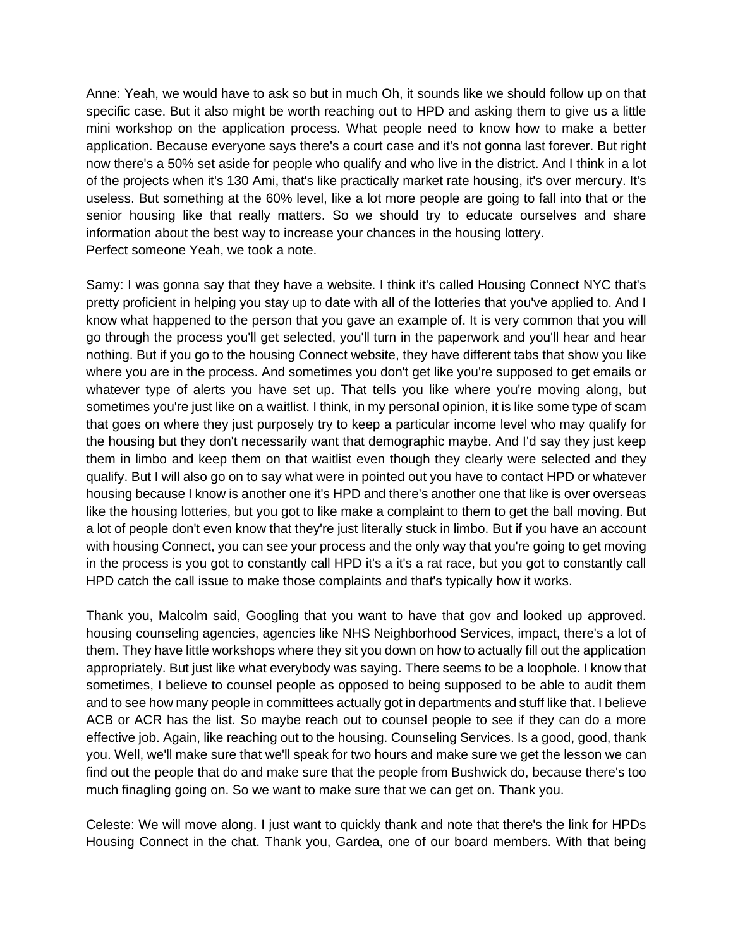Anne: Yeah, we would have to ask so but in much Oh, it sounds like we should follow up on that specific case. But it also might be worth reaching out to HPD and asking them to give us a little mini workshop on the application process. What people need to know how to make a better application. Because everyone says there's a court case and it's not gonna last forever. But right now there's a 50% set aside for people who qualify and who live in the district. And I think in a lot of the projects when it's 130 Ami, that's like practically market rate housing, it's over mercury. It's useless. But something at the 60% level, like a lot more people are going to fall into that or the senior housing like that really matters. So we should try to educate ourselves and share information about the best way to increase your chances in the housing lottery. Perfect someone Yeah, we took a note.

Samy: I was gonna say that they have a website. I think it's called Housing Connect NYC that's pretty proficient in helping you stay up to date with all of the lotteries that you've applied to. And I know what happened to the person that you gave an example of. It is very common that you will go through the process you'll get selected, you'll turn in the paperwork and you'll hear and hear nothing. But if you go to the housing Connect website, they have different tabs that show you like where you are in the process. And sometimes you don't get like you're supposed to get emails or whatever type of alerts you have set up. That tells you like where you're moving along, but sometimes you're just like on a waitlist. I think, in my personal opinion, it is like some type of scam that goes on where they just purposely try to keep a particular income level who may qualify for the housing but they don't necessarily want that demographic maybe. And I'd say they just keep them in limbo and keep them on that waitlist even though they clearly were selected and they qualify. But I will also go on to say what were in pointed out you have to contact HPD or whatever housing because I know is another one it's HPD and there's another one that like is over overseas like the housing lotteries, but you got to like make a complaint to them to get the ball moving. But a lot of people don't even know that they're just literally stuck in limbo. But if you have an account with housing Connect, you can see your process and the only way that you're going to get moving in the process is you got to constantly call HPD it's a it's a rat race, but you got to constantly call HPD catch the call issue to make those complaints and that's typically how it works.

Thank you, Malcolm said, Googling that you want to have that gov and looked up approved. housing counseling agencies, agencies like NHS Neighborhood Services, impact, there's a lot of them. They have little workshops where they sit you down on how to actually fill out the application appropriately. But just like what everybody was saying. There seems to be a loophole. I know that sometimes, I believe to counsel people as opposed to being supposed to be able to audit them and to see how many people in committees actually got in departments and stuff like that. I believe ACB or ACR has the list. So maybe reach out to counsel people to see if they can do a more effective job. Again, like reaching out to the housing. Counseling Services. Is a good, good, thank you. Well, we'll make sure that we'll speak for two hours and make sure we get the lesson we can find out the people that do and make sure that the people from Bushwick do, because there's too much finagling going on. So we want to make sure that we can get on. Thank you.

Celeste: We will move along. I just want to quickly thank and note that there's the link for HPDs Housing Connect in the chat. Thank you, Gardea, one of our board members. With that being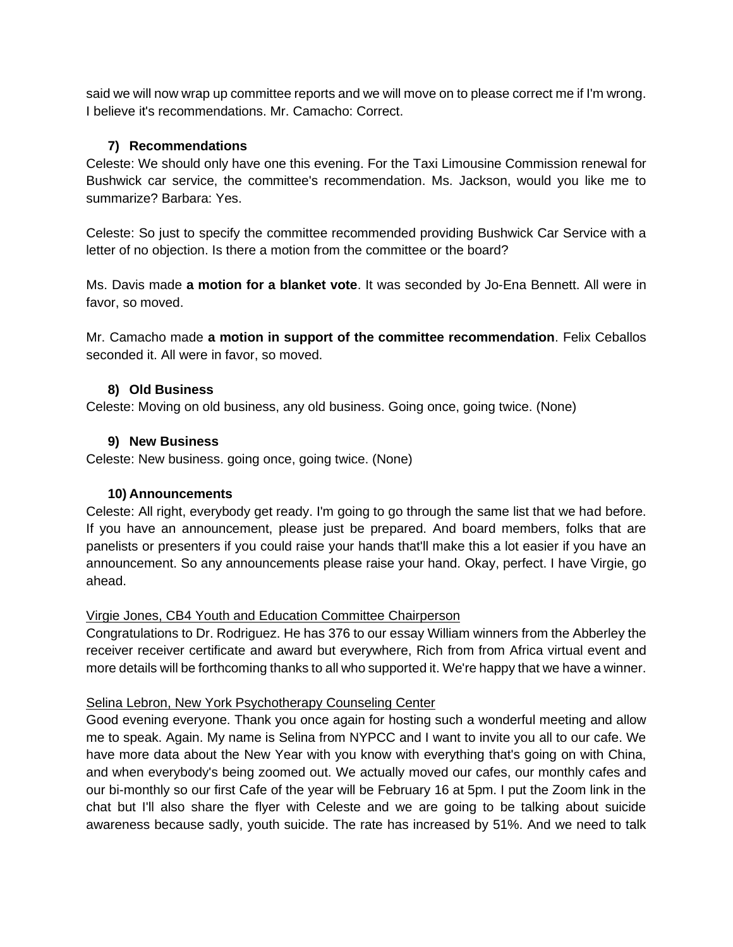said we will now wrap up committee reports and we will move on to please correct me if I'm wrong. I believe it's recommendations. Mr. Camacho: Correct.

## **7) Recommendations**

Celeste: We should only have one this evening. For the Taxi Limousine Commission renewal for Bushwick car service, the committee's recommendation. Ms. Jackson, would you like me to summarize? Barbara: Yes.

Celeste: So just to specify the committee recommended providing Bushwick Car Service with a letter of no objection. Is there a motion from the committee or the board?

Ms. Davis made **a motion for a blanket vote**. It was seconded by Jo-Ena Bennett. All were in favor, so moved.

Mr. Camacho made **a motion in support of the committee recommendation**. Felix Ceballos seconded it. All were in favor, so moved.

### **8) Old Business**

Celeste: Moving on old business, any old business. Going once, going twice. (None)

## **9) New Business**

Celeste: New business. going once, going twice. (None)

### **10) Announcements**

Celeste: All right, everybody get ready. I'm going to go through the same list that we had before. If you have an announcement, please just be prepared. And board members, folks that are panelists or presenters if you could raise your hands that'll make this a lot easier if you have an announcement. So any announcements please raise your hand. Okay, perfect. I have Virgie, go ahead.

### Virgie Jones, CB4 Youth and Education Committee Chairperson

Congratulations to Dr. Rodriguez. He has 376 to our essay William winners from the Abberley the receiver receiver certificate and award but everywhere, Rich from from Africa virtual event and more details will be forthcoming thanks to all who supported it. We're happy that we have a winner.

### Selina Lebron, New York Psychotherapy Counseling Center

Good evening everyone. Thank you once again for hosting such a wonderful meeting and allow me to speak. Again. My name is Selina from NYPCC and I want to invite you all to our cafe. We have more data about the New Year with you know with everything that's going on with China, and when everybody's being zoomed out. We actually moved our cafes, our monthly cafes and our bi-monthly so our first Cafe of the year will be February 16 at 5pm. I put the Zoom link in the chat but I'll also share the flyer with Celeste and we are going to be talking about suicide awareness because sadly, youth suicide. The rate has increased by 51%. And we need to talk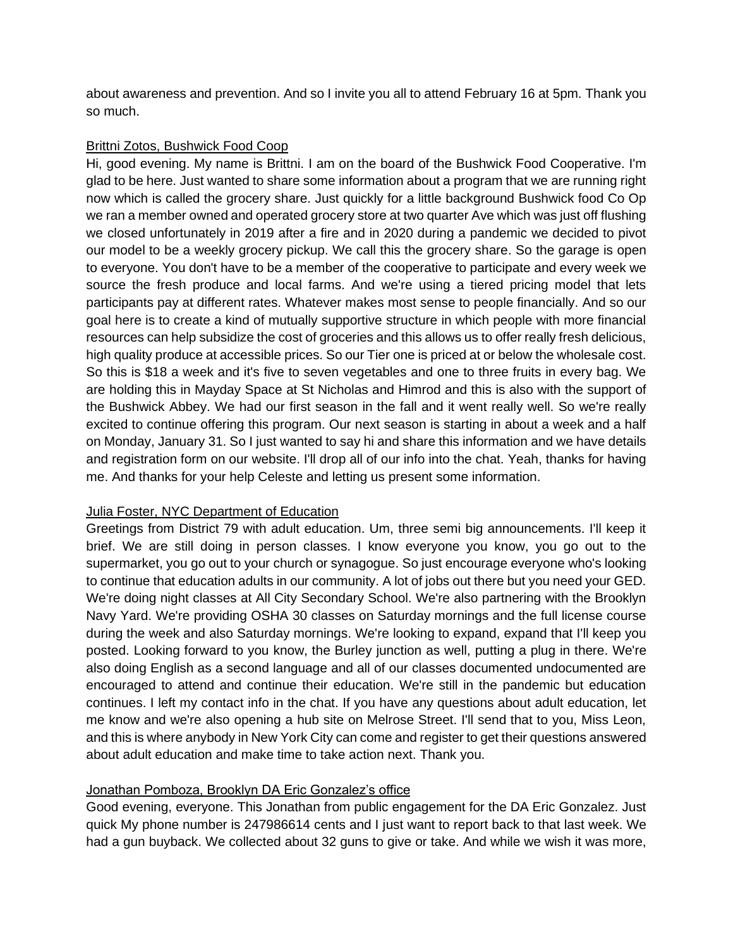about awareness and prevention. And so I invite you all to attend February 16 at 5pm. Thank you so much.

### Brittni Zotos, Bushwick Food Coop

Hi, good evening. My name is Brittni. I am on the board of the Bushwick Food Cooperative. I'm glad to be here. Just wanted to share some information about a program that we are running right now which is called the grocery share. Just quickly for a little background Bushwick food Co Op we ran a member owned and operated grocery store at two quarter Ave which was just off flushing we closed unfortunately in 2019 after a fire and in 2020 during a pandemic we decided to pivot our model to be a weekly grocery pickup. We call this the grocery share. So the garage is open to everyone. You don't have to be a member of the cooperative to participate and every week we source the fresh produce and local farms. And we're using a tiered pricing model that lets participants pay at different rates. Whatever makes most sense to people financially. And so our goal here is to create a kind of mutually supportive structure in which people with more financial resources can help subsidize the cost of groceries and this allows us to offer really fresh delicious, high quality produce at accessible prices. So our Tier one is priced at or below the wholesale cost. So this is \$18 a week and it's five to seven vegetables and one to three fruits in every bag. We are holding this in Mayday Space at St Nicholas and Himrod and this is also with the support of the Bushwick Abbey. We had our first season in the fall and it went really well. So we're really excited to continue offering this program. Our next season is starting in about a week and a half on Monday, January 31. So I just wanted to say hi and share this information and we have details and registration form on our website. I'll drop all of our info into the chat. Yeah, thanks for having me. And thanks for your help Celeste and letting us present some information.

### Julia Foster, NYC Department of Education

Greetings from District 79 with adult education. Um, three semi big announcements. I'll keep it brief. We are still doing in person classes. I know everyone you know, you go out to the supermarket, you go out to your church or synagogue. So just encourage everyone who's looking to continue that education adults in our community. A lot of jobs out there but you need your GED. We're doing night classes at All City Secondary School. We're also partnering with the Brooklyn Navy Yard. We're providing OSHA 30 classes on Saturday mornings and the full license course during the week and also Saturday mornings. We're looking to expand, expand that I'll keep you posted. Looking forward to you know, the Burley junction as well, putting a plug in there. We're also doing English as a second language and all of our classes documented undocumented are encouraged to attend and continue their education. We're still in the pandemic but education continues. I left my contact info in the chat. If you have any questions about adult education, let me know and we're also opening a hub site on Melrose Street. I'll send that to you, Miss Leon, and this is where anybody in New York City can come and register to get their questions answered about adult education and make time to take action next. Thank you.

## Jonathan Pomboza, Brooklyn DA Eric Gonzalez's office

Good evening, everyone. This Jonathan from public engagement for the DA Eric Gonzalez. Just quick My phone number is 247986614 cents and I just want to report back to that last week. We had a gun buyback. We collected about 32 guns to give or take. And while we wish it was more,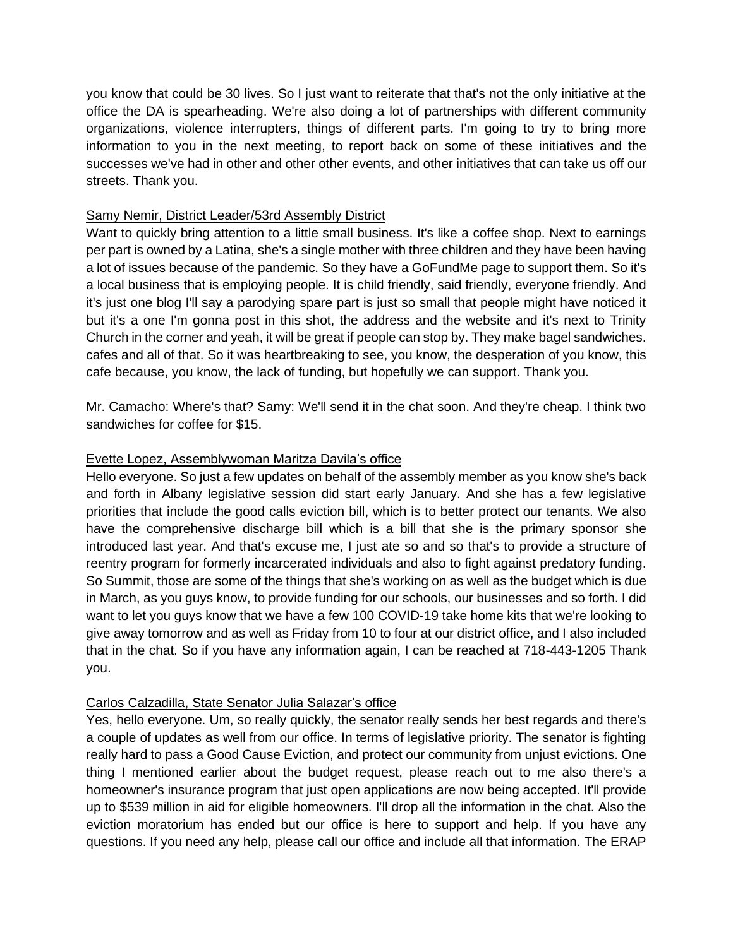you know that could be 30 lives. So I just want to reiterate that that's not the only initiative at the office the DA is spearheading. We're also doing a lot of partnerships with different community organizations, violence interrupters, things of different parts. I'm going to try to bring more information to you in the next meeting, to report back on some of these initiatives and the successes we've had in other and other other events, and other initiatives that can take us off our streets. Thank you.

### Samy Nemir, District Leader/53rd Assembly District

Want to quickly bring attention to a little small business. It's like a coffee shop. Next to earnings per part is owned by a Latina, she's a single mother with three children and they have been having a lot of issues because of the pandemic. So they have a GoFundMe page to support them. So it's a local business that is employing people. It is child friendly, said friendly, everyone friendly. And it's just one blog I'll say a parodying spare part is just so small that people might have noticed it but it's a one I'm gonna post in this shot, the address and the website and it's next to Trinity Church in the corner and yeah, it will be great if people can stop by. They make bagel sandwiches. cafes and all of that. So it was heartbreaking to see, you know, the desperation of you know, this cafe because, you know, the lack of funding, but hopefully we can support. Thank you.

Mr. Camacho: Where's that? Samy: We'll send it in the chat soon. And they're cheap. I think two sandwiches for coffee for \$15.

### Evette Lopez, Assemblywoman Maritza Davila's office

Hello everyone. So just a few updates on behalf of the assembly member as you know she's back and forth in Albany legislative session did start early January. And she has a few legislative priorities that include the good calls eviction bill, which is to better protect our tenants. We also have the comprehensive discharge bill which is a bill that she is the primary sponsor she introduced last year. And that's excuse me, I just ate so and so that's to provide a structure of reentry program for formerly incarcerated individuals and also to fight against predatory funding. So Summit, those are some of the things that she's working on as well as the budget which is due in March, as you guys know, to provide funding for our schools, our businesses and so forth. I did want to let you guys know that we have a few 100 COVID-19 take home kits that we're looking to give away tomorrow and as well as Friday from 10 to four at our district office, and I also included that in the chat. So if you have any information again, I can be reached at 718-443-1205 Thank you.

### Carlos Calzadilla, State Senator Julia Salazar's office

Yes, hello everyone. Um, so really quickly, the senator really sends her best regards and there's a couple of updates as well from our office. In terms of legislative priority. The senator is fighting really hard to pass a Good Cause Eviction, and protect our community from unjust evictions. One thing I mentioned earlier about the budget request, please reach out to me also there's a homeowner's insurance program that just open applications are now being accepted. It'll provide up to \$539 million in aid for eligible homeowners. I'll drop all the information in the chat. Also the eviction moratorium has ended but our office is here to support and help. If you have any questions. If you need any help, please call our office and include all that information. The ERAP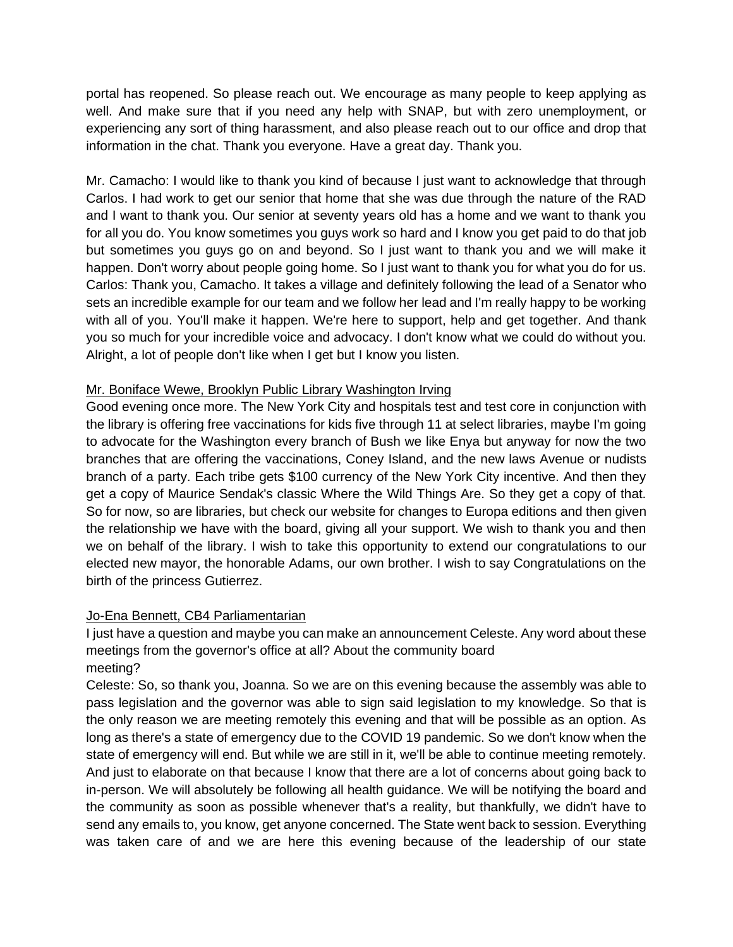portal has reopened. So please reach out. We encourage as many people to keep applying as well. And make sure that if you need any help with SNAP, but with zero unemployment, or experiencing any sort of thing harassment, and also please reach out to our office and drop that information in the chat. Thank you everyone. Have a great day. Thank you.

Mr. Camacho: I would like to thank you kind of because I just want to acknowledge that through Carlos. I had work to get our senior that home that she was due through the nature of the RAD and I want to thank you. Our senior at seventy years old has a home and we want to thank you for all you do. You know sometimes you guys work so hard and I know you get paid to do that job but sometimes you guys go on and beyond. So I just want to thank you and we will make it happen. Don't worry about people going home. So I just want to thank you for what you do for us. Carlos: Thank you, Camacho. It takes a village and definitely following the lead of a Senator who sets an incredible example for our team and we follow her lead and I'm really happy to be working with all of you. You'll make it happen. We're here to support, help and get together. And thank you so much for your incredible voice and advocacy. I don't know what we could do without you. Alright, a lot of people don't like when I get but I know you listen.

# Mr. Boniface Wewe, Brooklyn Public Library Washington Irving

Good evening once more. The New York City and hospitals test and test core in conjunction with the library is offering free vaccinations for kids five through 11 at select libraries, maybe I'm going to advocate for the Washington every branch of Bush we like Enya but anyway for now the two branches that are offering the vaccinations, Coney Island, and the new laws Avenue or nudists branch of a party. Each tribe gets \$100 currency of the New York City incentive. And then they get a copy of Maurice Sendak's classic Where the Wild Things Are. So they get a copy of that. So for now, so are libraries, but check our website for changes to Europa editions and then given the relationship we have with the board, giving all your support. We wish to thank you and then we on behalf of the library. I wish to take this opportunity to extend our congratulations to our elected new mayor, the honorable Adams, our own brother. I wish to say Congratulations on the birth of the princess Gutierrez.

### Jo-Ena Bennett, CB4 Parliamentarian

I just have a question and maybe you can make an announcement Celeste. Any word about these meetings from the governor's office at all? About the community board meeting?

Celeste: So, so thank you, Joanna. So we are on this evening because the assembly was able to pass legislation and the governor was able to sign said legislation to my knowledge. So that is the only reason we are meeting remotely this evening and that will be possible as an option. As long as there's a state of emergency due to the COVID 19 pandemic. So we don't know when the state of emergency will end. But while we are still in it, we'll be able to continue meeting remotely. And just to elaborate on that because I know that there are a lot of concerns about going back to in-person. We will absolutely be following all health guidance. We will be notifying the board and the community as soon as possible whenever that's a reality, but thankfully, we didn't have to send any emails to, you know, get anyone concerned. The State went back to session. Everything was taken care of and we are here this evening because of the leadership of our state